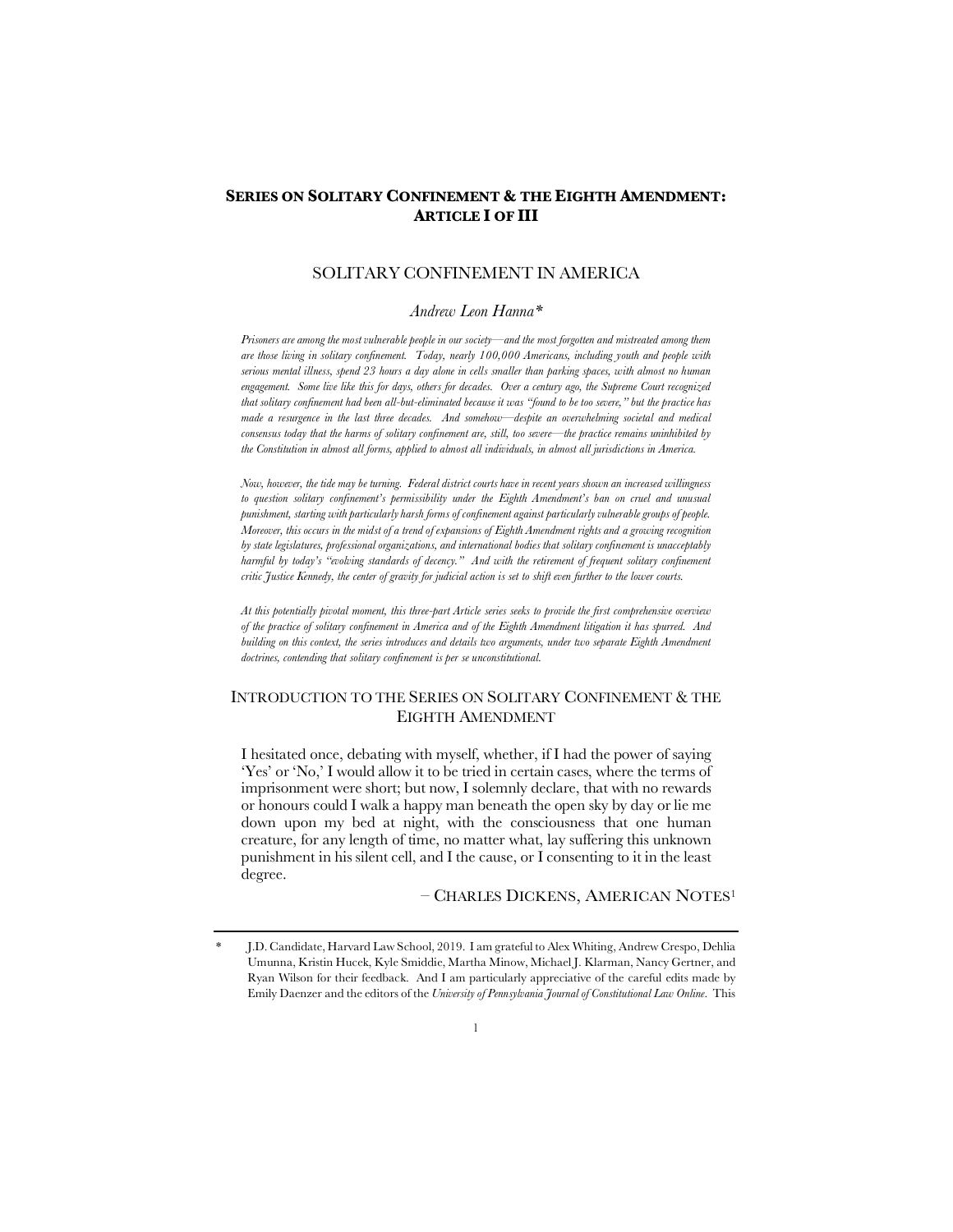# **SERIES ON SOLITARY CONFINEMENT & THE EIGHTH AMENDMENT: ARTICLE I OF III**

# SOLITARY CONFINEMENT IN AMERICA

## *Andrew Leon Hanna\**

*Prisoners are among the most vulnerable people in our society—and the most forgotten and mistreated among them are those living in solitary confinement. Today, nearly 100,000 Americans, including youth and people with serious mental illness, spend 23 hours a day alone in cells smaller than parking spaces, with almost no human engagement. Some live like this for days, others for decades. Over a century ago, the Supreme Court recognized that solitary confinement had been all-but-eliminated because it was "found to be too severe," but the practice has made a resurgence in the last three decades. And somehow—despite an overwhelming societal and medical consensus today that the harms of solitary confinement are, still, too severe—the practice remains uninhibited by the Constitution in almost all forms, applied to almost all individuals, in almost all jurisdictions in America.* 

*Now, however, the tide may be turning. Federal district courts have in recent years shown an increased willingness to question solitary confinement's permissibility under the Eighth Amendment's ban on cruel and unusual punishment, starting with particularly harsh forms of confinement against particularly vulnerable groups of people. Moreover, this occurs in the midst of a trend of expansions of Eighth Amendment rights and a growing recognition by state legislatures, professional organizations, and international bodies that solitary confinement is unacceptably harmful by today's "evolving standards of decency." And with the retirement of frequent solitary confinement critic Justice Kennedy, the center of gravity for judicial action is set to shift even further to the lower courts.*

*At this potentially pivotal moment, this three-part Article series seeks to provide the first comprehensive overview of the practice of solitary confinement in America and of the Eighth Amendment litigation it has spurred. And building on this context, the series introduces and details two arguments, under two separate Eighth Amendment doctrines, contending that solitary confinement is per se unconstitutional.*

# INTRODUCTION TO THE SERIES ON SOLITARY CONFINEMENT & THE EIGHTH AMENDMENT

I hesitated once, debating with myself, whether, if I had the power of saying 'Yes' or 'No,' I would allow it to be tried in certain cases, where the terms of imprisonment were short; but now, I solemnly declare, that with no rewards or honours could I walk a happy man beneath the open sky by day or lie me down upon my bed at night, with the consciousness that one human creature, for any length of time, no matter what, lay suffering this unknown punishment in his silent cell, and I the cause, or I consenting to it in the least degree.

– CHARLES DICKENS, AMERICAN NOTES<sup>1</sup>

<sup>\*</sup> J.D. Candidate, Harvard Law School, 2019. I am grateful to Alex Whiting, Andrew Crespo, Dehlia Umunna, Kristin Hucek, Kyle Smiddie, Martha Minow, Michael J. Klarman, Nancy Gertner, and Ryan Wilson for their feedback. And I am particularly appreciative of the careful edits made by Emily Daenzer and the editors of the *University of Pennsylvania Journal of Constitutional Law Online*. This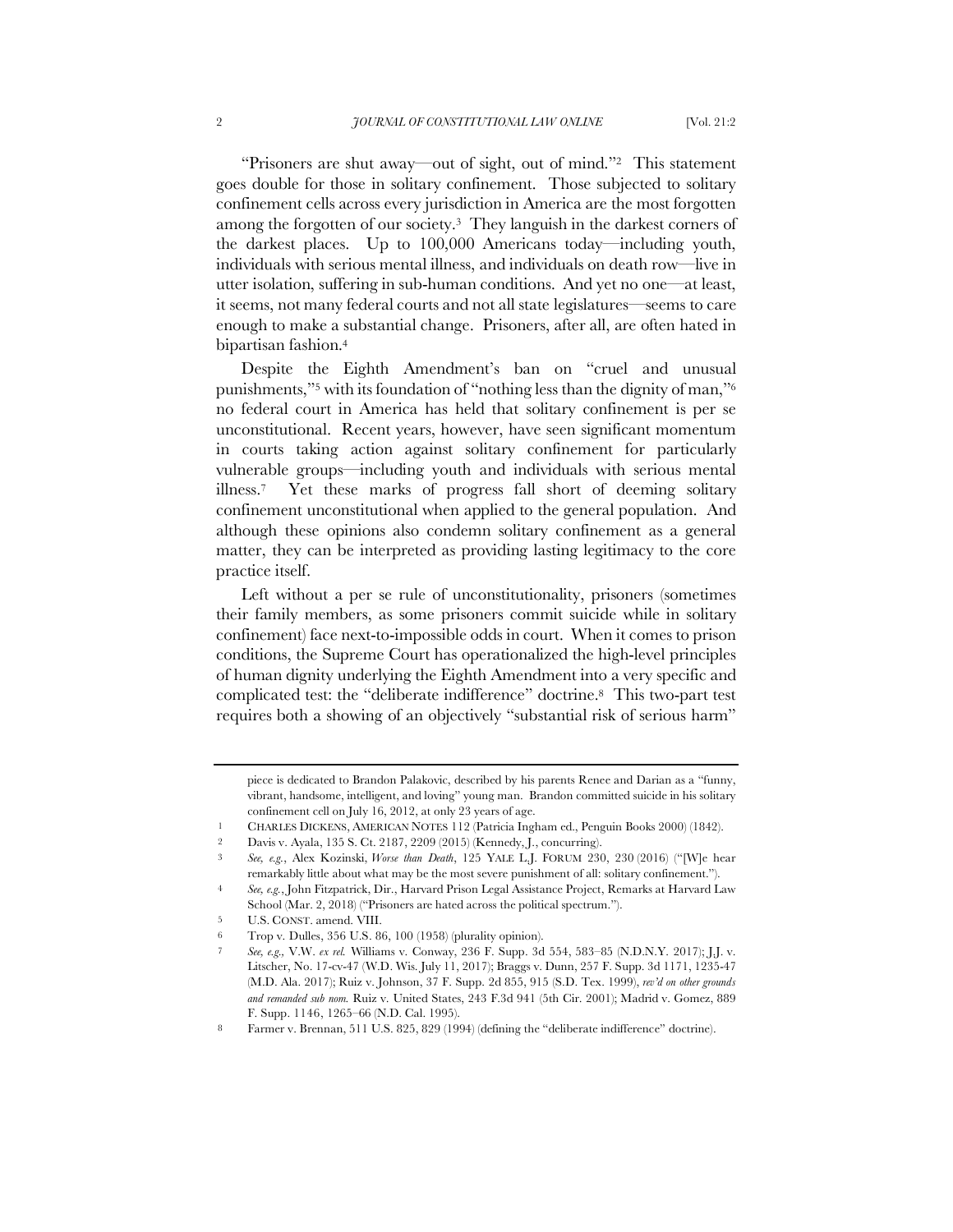"Prisoners are shut away—out of sight, out of mind."2 This statement goes double for those in solitary confinement. Those subjected to solitary confinement cells across every jurisdiction in America are the most forgotten among the forgotten of our society.3 They languish in the darkest corners of the darkest places. Up to 100,000 Americans today—including youth, individuals with serious mental illness, and individuals on death row—live in utter isolation, suffering in sub-human conditions. And yet no one—at least, it seems, not many federal courts and not all state legislatures—seems to care enough to make a substantial change. Prisoners, after all, are often hated in bipartisan fashion.<sup>4</sup>

Despite the Eighth Amendment's ban on "cruel and unusual punishments,"<sup>5</sup> with its foundation of "nothing less than the dignity of man,"<sup>6</sup> no federal court in America has held that solitary confinement is per se unconstitutional. Recent years, however, have seen significant momentum in courts taking action against solitary confinement for particularly vulnerable groups—including youth and individuals with serious mental illness.7 Yet these marks of progress fall short of deeming solitary confinement unconstitutional when applied to the general population. And although these opinions also condemn solitary confinement as a general matter, they can be interpreted as providing lasting legitimacy to the core practice itself.

Left without a per se rule of unconstitutionality, prisoners (sometimes their family members, as some prisoners commit suicide while in solitary confinement) face next-to-impossible odds in court. When it comes to prison conditions, the Supreme Court has operationalized the high-level principles of human dignity underlying the Eighth Amendment into a very specific and complicated test: the "deliberate indifference" doctrine.8 This two-part test requires both a showing of an objectively "substantial risk of serious harm"

piece is dedicated to Brandon Palakovic, described by his parents Renee and Darian as a "funny, vibrant, handsome, intelligent, and loving" young man. Brandon committed suicide in his solitary confinement cell on July 16, 2012, at only 23 years of age.

<sup>1</sup> CHARLES DICKENS, AMERICAN NOTES 112 (Patricia Ingham ed., Penguin Books 2000) (1842).

<sup>2</sup> Davis v. Ayala, 135 S. Ct. 2187, 2209 (2015) (Kennedy, J., concurring).

<sup>3</sup> *See, e.g.*, Alex Kozinski, *Worse than Death*, 125 YALE L.J. FORUM 230, 230 (2016) ("[W]e hear remarkably little about what may be the most severe punishment of all: solitary confinement.").

<sup>4</sup> *See, e.g.*, John Fitzpatrick, Dir., Harvard Prison Legal Assistance Project, Remarks at Harvard Law School (Mar. 2, 2018) ("Prisoners are hated across the political spectrum.").

<sup>5</sup> U.S. CONST. amend. VIII.

<sup>6</sup> Trop v. Dulles, 356 U.S. 86, 100 (1958) (plurality opinion).

<sup>7</sup> *See, e.g.,* V.W. *ex rel.* Williams v. Conway, 236 F. Supp. 3d 554, 583–85 (N.D.N.Y. 2017); J.J. v. Litscher, No. 17-cv-47 (W.D. Wis. July 11, 2017); Braggs v. Dunn, 257 F. Supp. 3d 1171, 1235-47 (M.D. Ala. 2017); Ruiz v. Johnson, 37 F. Supp. 2d 855, 915 (S.D. Tex. 1999), *rev'd on other grounds and remanded sub nom.* Ruiz v. United States, 243 F.3d 941 (5th Cir. 2001); Madrid v. Gomez, 889 F. Supp. 1146, 1265–66 (N.D. Cal. 1995).

<sup>8</sup> Farmer v. Brennan, 511 U.S. 825, 829 (1994) (defining the "deliberate indifference" doctrine).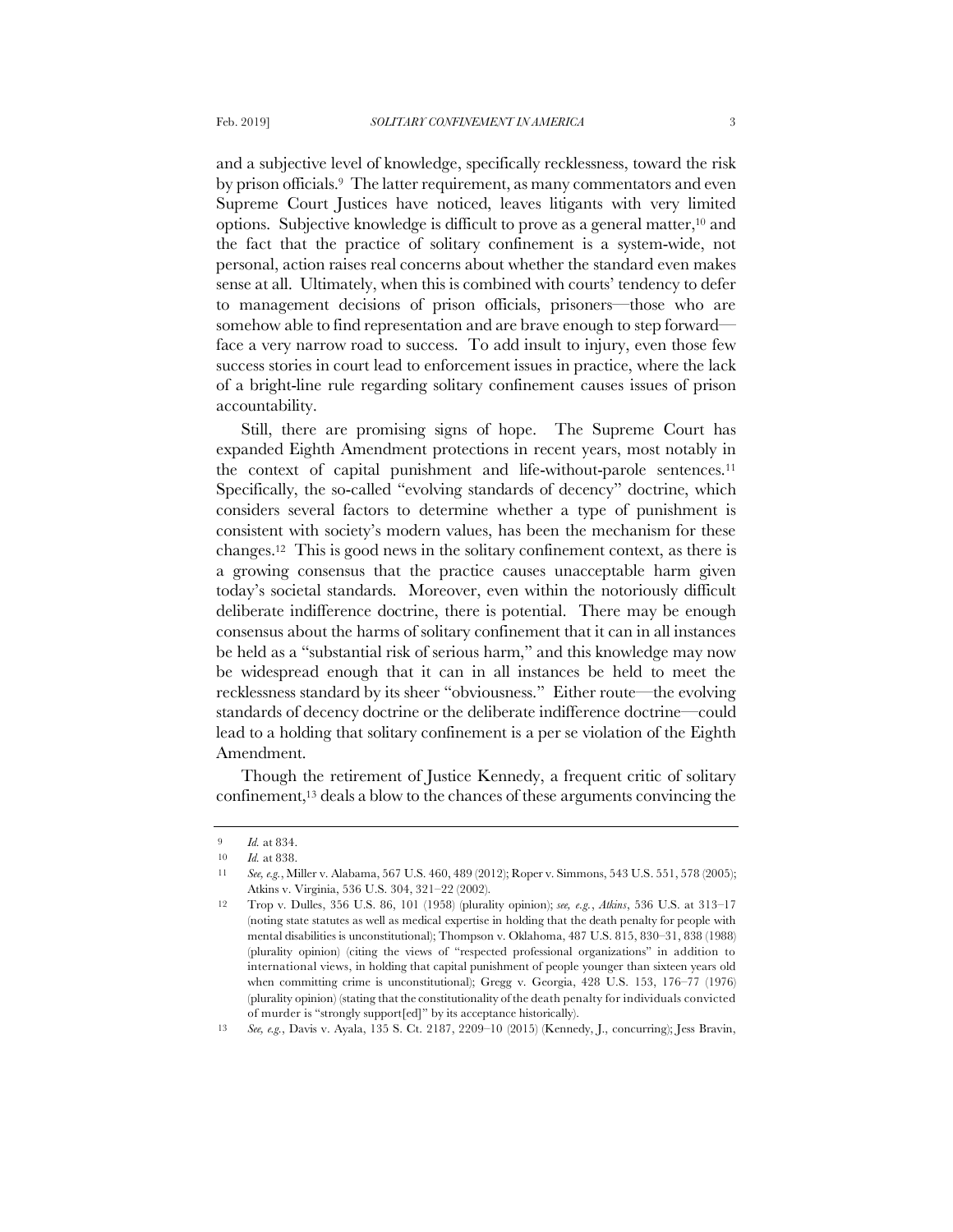and a subjective level of knowledge, specifically recklessness, toward the risk by prison officials.9 The latter requirement, as many commentators and even Supreme Court Justices have noticed, leaves litigants with very limited options. Subjective knowledge is difficult to prove as a general matter,<sup>10</sup> and the fact that the practice of solitary confinement is a system-wide, not personal, action raises real concerns about whether the standard even makes sense at all. Ultimately, when this is combined with courts' tendency to defer to management decisions of prison officials, prisoners—those who are somehow able to find representation and are brave enough to step forward face a very narrow road to success. To add insult to injury, even those few success stories in court lead to enforcement issues in practice, where the lack of a bright-line rule regarding solitary confinement causes issues of prison accountability.

Still, there are promising signs of hope. The Supreme Court has expanded Eighth Amendment protections in recent years, most notably in the context of capital punishment and life-without-parole sentences.<sup>11</sup> Specifically, the so-called "evolving standards of decency" doctrine, which considers several factors to determine whether a type of punishment is consistent with society's modern values, has been the mechanism for these changes.12 This is good news in the solitary confinement context, as there is a growing consensus that the practice causes unacceptable harm given today's societal standards. Moreover, even within the notoriously difficult deliberate indifference doctrine, there is potential. There may be enough consensus about the harms of solitary confinement that it can in all instances be held as a "substantial risk of serious harm," and this knowledge may now be widespread enough that it can in all instances be held to meet the recklessness standard by its sheer "obviousness." Either route—the evolving standards of decency doctrine or the deliberate indifference doctrine—could lead to a holding that solitary confinement is a per se violation of the Eighth Amendment.

Though the retirement of Justice Kennedy, a frequent critic of solitary confinement,<sup>13</sup> deals a blow to the chances of these arguments convincing the

13 *See, e.g.*, Davis v. Ayala, 135 S. Ct. 2187, 2209–10 (2015) (Kennedy, J., concurring); Jess Bravin,

<sup>9</sup> *Id.* at 834.

<sup>10</sup> *Id.* at 838.

<sup>11</sup> *See, e.g.*, Miller v. Alabama, 567 U.S. 460, 489 (2012); Roper v. Simmons, 543 U.S. 551, 578 (2005); Atkins v. Virginia, 536 U.S. 304, 321–22 (2002).

<sup>12</sup> Trop v. Dulles, 356 U.S. 86, 101 (1958) (plurality opinion); *see, e.g.*, *Atkins*, 536 U.S. at 313–17 (noting state statutes as well as medical expertise in holding that the death penalty for people with mental disabilities is unconstitutional); Thompson v. Oklahoma, 487 U.S. 815, 830–31, 838 (1988) (plurality opinion) (citing the views of "respected professional organizations" in addition to international views, in holding that capital punishment of people younger than sixteen years old when committing crime is unconstitutional); Gregg v. Georgia, 428 U.S. 153, 176–77 (1976) (plurality opinion) (stating that the constitutionality of the death penalty for individuals convicted of murder is "strongly support[ed]" by its acceptance historically).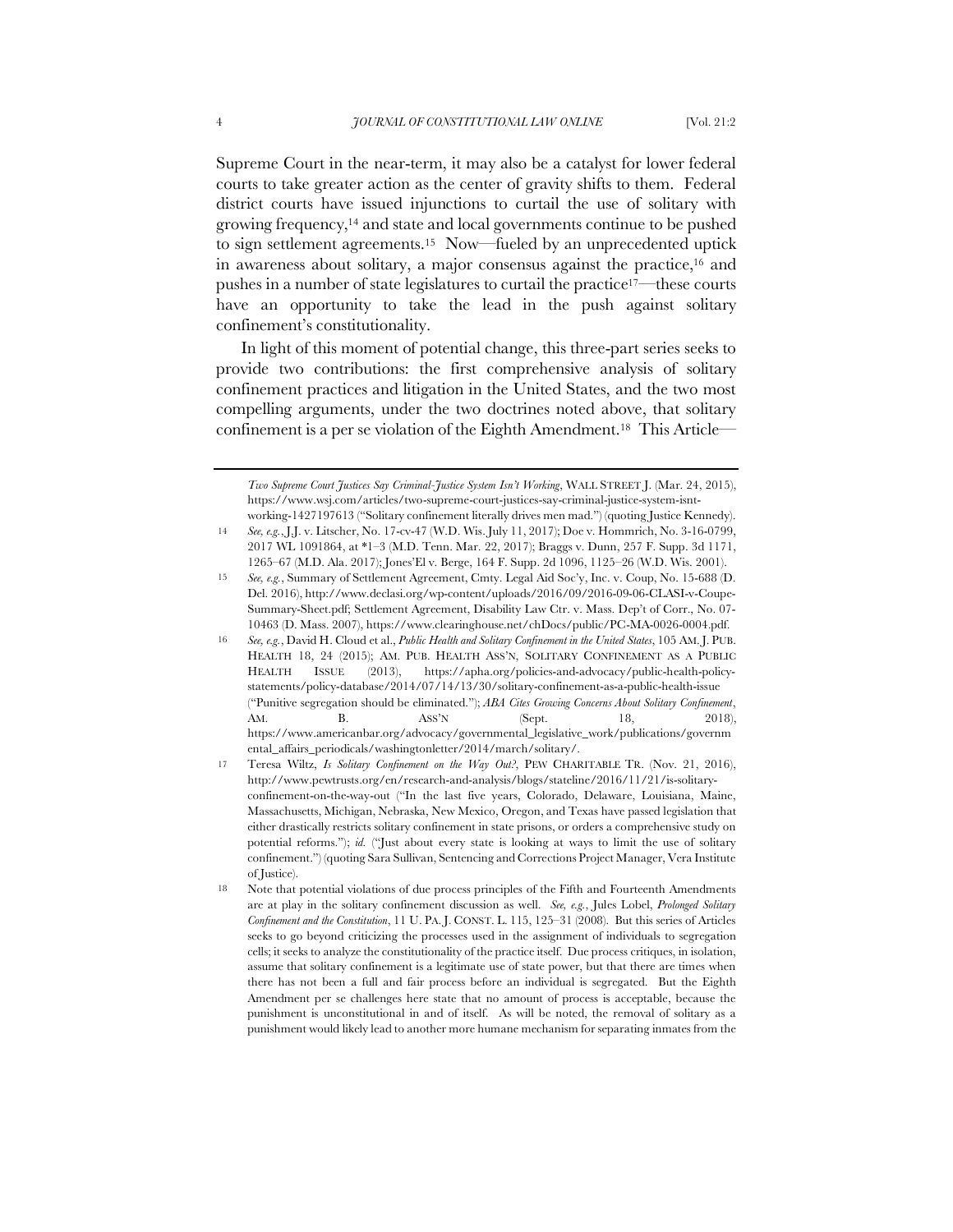Supreme Court in the near-term, it may also be a catalyst for lower federal courts to take greater action as the center of gravity shifts to them. Federal district courts have issued injunctions to curtail the use of solitary with growing frequency,<sup>14</sup> and state and local governments continue to be pushed to sign settlement agreements.15 Now—fueled by an unprecedented uptick in awareness about solitary, a major consensus against the practice,<sup>16</sup> and pushes in a number of state legislatures to curtail the practice17—these courts have an opportunity to take the lead in the push against solitary confinement's constitutionality.

In light of this moment of potential change, this three-part series seeks to provide two contributions: the first comprehensive analysis of solitary confinement practices and litigation in the United States, and the two most compelling arguments, under the two doctrines noted above, that solitary confinement is a per se violation of the Eighth Amendment.18 This Article—

*Two Supreme Court Justices Say Criminal-Justice System Isn't Working*, WALL STREET J. (Mar. 24, 2015), https://www.wsj.com/articles/two-supreme-court-justices-say-criminal-justice-system-isntworking-1427197613 ("Solitary confinement literally drives men mad.") (quoting Justice Kennedy).

<sup>14</sup> *See, e.g.*, J.J. v. Litscher, No. 17-cv-47 (W.D. Wis. July 11, 2017); Doe v. Hommrich, No. 3-16-0799, 2017 WL 1091864, at \*1–3 (M.D. Tenn. Mar. 22, 2017); Braggs v. Dunn, 257 F. Supp. 3d 1171, 1265–67 (M.D. Ala. 2017); Jones'El v. Berge, 164 F. Supp. 2d 1096, 1125–26 (W.D. Wis. 2001).

<sup>15</sup> *See, e.g.*, Summary of Settlement Agreement, Cmty. Legal Aid Soc'y, Inc. v. Coup, No. 15-688 (D. Del. 2016), http://www.declasi.org/wp-content/uploads/2016/09/2016-09-06-CLASI-v-Coupe-Summary-Sheet.pdf; Settlement Agreement, Disability Law Ctr. v. Mass. Dep't of Corr., No. 07- 10463 (D. Mass. 2007), https://www.clearinghouse.net/chDocs/public/PC-MA-0026-0004.pdf.

<sup>16</sup> *See, e.g.*, David H. Cloud et al., *Public Health and Solitary Confinement in the United States*, 105 AM.J. PUB. HEALTH 18, 24 (2015); AM. PUB. HEALTH ASS'N, SOLITARY CONFINEMENT AS A PUBLIC HEALTH ISSUE (2013), https://apha.org/policies-and-advocacy/public-health-policystatements/policy-database/2014/07/14/13/30/solitary-confinement-as-a-public-health-issue ("Punitive segregation should be eliminated."); *ABA Cites Growing Concerns About Solitary Confinement*, AM. B. ASS'N (Sept. 18, 2018), https://www.americanbar.org/advocacy/governmental\_legislative\_work/publications/governm ental\_affairs\_periodicals/washingtonletter/2014/march/solitary/.

<sup>17</sup> Teresa Wiltz, *Is Solitary Confinement on the Way Out?*, PEW CHARITABLE TR. (Nov. 21, 2016), http://www.pewtrusts.org/en/research-and-analysis/blogs/stateline/2016/11/21/is-solitaryconfinement-on-the-way-out ("In the last five years, Colorado, Delaware, Louisiana, Maine, Massachusetts, Michigan, Nebraska, New Mexico, Oregon, and Texas have passed legislation that either drastically restricts solitary confinement in state prisons, or orders a comprehensive study on potential reforms."); *id.* ("Just about every state is looking at ways to limit the use of solitary confinement.") (quoting Sara Sullivan, Sentencing and Corrections Project Manager, Vera Institute of Justice).

<sup>18</sup> Note that potential violations of due process principles of the Fifth and Fourteenth Amendments are at play in the solitary confinement discussion as well. *See, e.g.*, Jules Lobel, *Prolonged Solitary Confinement and the Constitution*, 11 U. PA. J. CONST. L. 115, 125–31 (2008). But this series of Articles seeks to go beyond criticizing the processes used in the assignment of individuals to segregation cells; it seeks to analyze the constitutionality of the practice itself. Due process critiques, in isolation, assume that solitary confinement is a legitimate use of state power, but that there are times when there has not been a full and fair process before an individual is segregated. But the Eighth Amendment per se challenges here state that no amount of process is acceptable, because the punishment is unconstitutional in and of itself. As will be noted, the removal of solitary as a punishment would likely lead to another more humane mechanism for separating inmates from the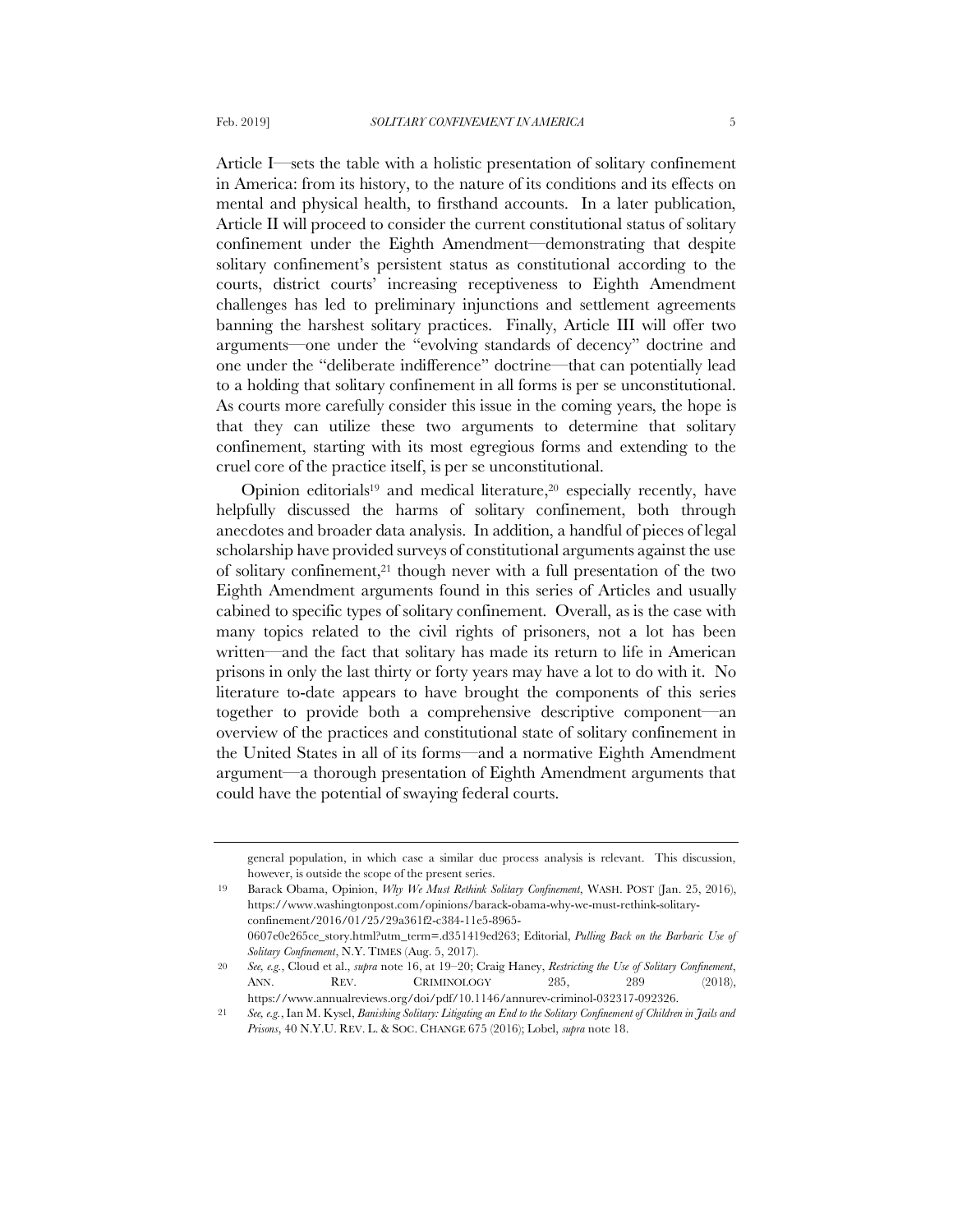Article I—sets the table with a holistic presentation of solitary confinement in America: from its history, to the nature of its conditions and its effects on mental and physical health, to firsthand accounts. In a later publication, Article II will proceed to consider the current constitutional status of solitary confinement under the Eighth Amendment—demonstrating that despite

solitary confinement's persistent status as constitutional according to the courts, district courts' increasing receptiveness to Eighth Amendment challenges has led to preliminary injunctions and settlement agreements banning the harshest solitary practices. Finally, Article III will offer two arguments—one under the "evolving standards of decency" doctrine and one under the "deliberate indifference" doctrine—that can potentially lead to a holding that solitary confinement in all forms is per se unconstitutional. As courts more carefully consider this issue in the coming years, the hope is that they can utilize these two arguments to determine that solitary confinement, starting with its most egregious forms and extending to the cruel core of the practice itself, is per se unconstitutional.

Opinion editorials<sup>19</sup> and medical literature,<sup>20</sup> especially recently, have helpfully discussed the harms of solitary confinement, both through anecdotes and broader data analysis. In addition, a handful of pieces of legal scholarship have provided surveys of constitutional arguments against the use of solitary confinement,<sup>21</sup> though never with a full presentation of the two Eighth Amendment arguments found in this series of Articles and usually cabined to specific types of solitary confinement. Overall, as is the case with many topics related to the civil rights of prisoners, not a lot has been written—and the fact that solitary has made its return to life in American prisons in only the last thirty or forty years may have a lot to do with it. No literature to-date appears to have brought the components of this series together to provide both a comprehensive descriptive component—an overview of the practices and constitutional state of solitary confinement in the United States in all of its forms—and a normative Eighth Amendment argument—a thorough presentation of Eighth Amendment arguments that could have the potential of swaying federal courts.

general population, in which case a similar due process analysis is relevant. This discussion, however, is outside the scope of the present series.

<sup>19</sup> Barack Obama, Opinion, *Why We Must Rethink Solitary Confinement*, WASH. POST (Jan. 25, 2016), https://www.washingtonpost.com/opinions/barack-obama-why-we-must-rethink-solitaryconfinement/2016/01/25/29a361f2-c384-11e5-8965- 0607e0e265ce\_story.html?utm\_term=.d351419ed263; Editorial, *Pulling Back on the Barbaric Use of Solitary Confinement*, N.Y. TIMES (Aug. 5, 2017).

<sup>20</sup> *See, e.g.*, Cloud et al., *supra* note 16, at 19–20; Craig Haney, *Restricting the Use of Solitary Confinement*, ANN. REV. CRIMINOLOGY 285, 289 (2018), https://www.annualreviews.org/doi/pdf/10.1146/annurev-criminol-032317-092326.

<sup>21</sup> *See, e.g.*, Ian M. Kysel, *Banishing Solitary: Litigating an End to the Solitary Confinement of Children in Jails and Prisons*, 40 N.Y.U. REV. L. & SOC. CHANGE 675 (2016); Lobel, *supra* note 18.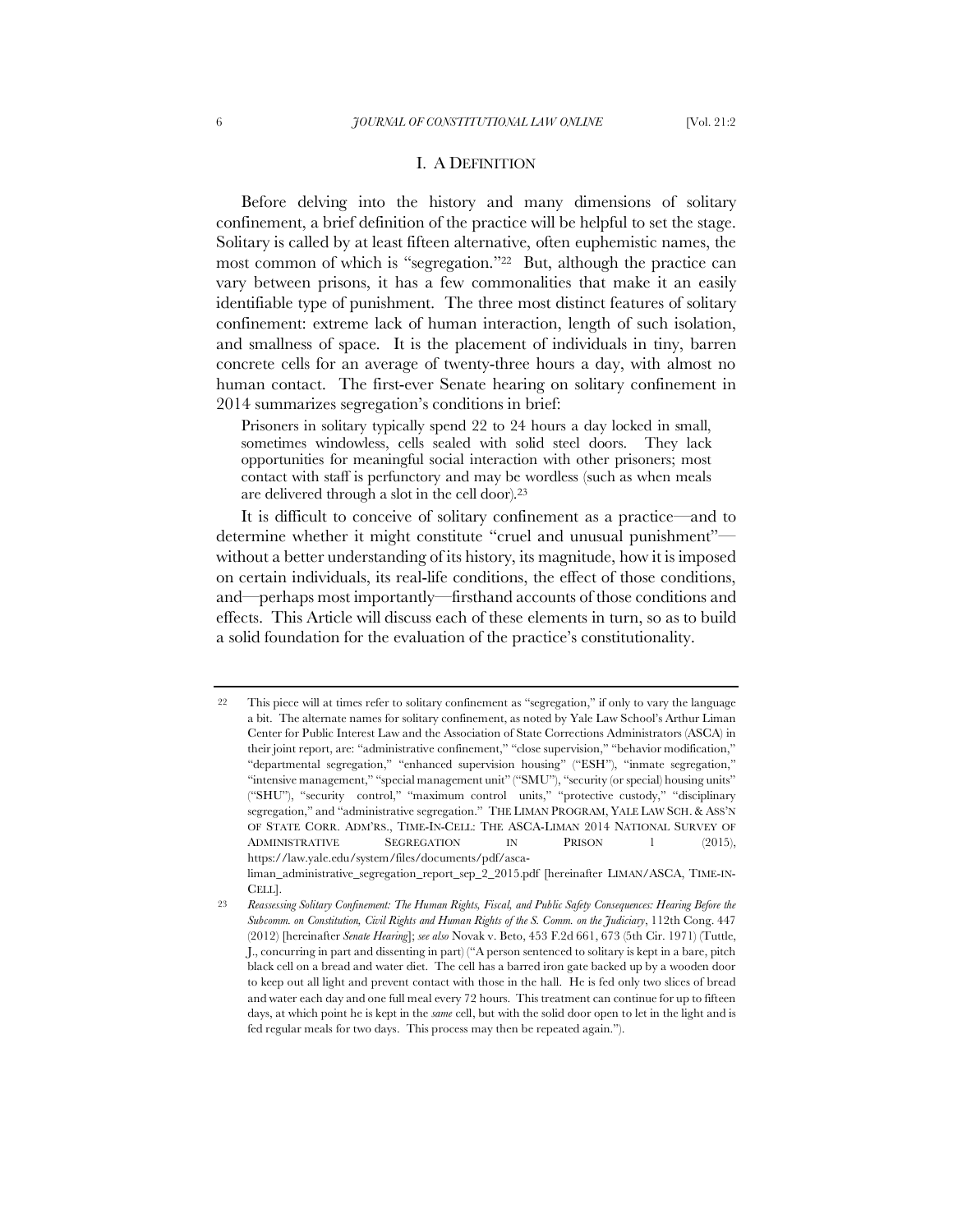# I. A DEFINITION

Before delving into the history and many dimensions of solitary confinement, a brief definition of the practice will be helpful to set the stage. Solitary is called by at least fifteen alternative, often euphemistic names, the most common of which is "segregation."22 But, although the practice can vary between prisons, it has a few commonalities that make it an easily identifiable type of punishment. The three most distinct features of solitary confinement: extreme lack of human interaction, length of such isolation, and smallness of space. It is the placement of individuals in tiny, barren concrete cells for an average of twenty-three hours a day, with almost no human contact. The first-ever Senate hearing on solitary confinement in 2014 summarizes segregation's conditions in brief:

Prisoners in solitary typically spend 22 to 24 hours a day locked in small, sometimes windowless, cells sealed with solid steel doors. They lack opportunities for meaningful social interaction with other prisoners; most contact with staff is perfunctory and may be wordless (such as when meals are delivered through a slot in the cell door).<sup>23</sup>

It is difficult to conceive of solitary confinement as a practice—and to determine whether it might constitute "cruel and unusual punishment" without a better understanding of its history, its magnitude, how it is imposed on certain individuals, its real-life conditions, the effect of those conditions, and—perhaps most importantly—firsthand accounts of those conditions and effects. This Article will discuss each of these elements in turn, so as to build a solid foundation for the evaluation of the practice's constitutionality.

<sup>22</sup> This piece will at times refer to solitary confinement as "segregation," if only to vary the language a bit. The alternate names for solitary confinement, as noted by Yale Law School's Arthur Liman Center for Public Interest Law and the Association of State Corrections Administrators (ASCA) in their joint report, are: "administrative confinement," "close supervision," "behavior modification," "departmental segregation," "enhanced supervision housing" ("ESH"), "inmate segregation," "intensive management," "special management unit" ("SMU"), "security (or special) housing units" ("SHU"), "security control," "maximum control units," "protective custody," "disciplinary segregation," and "administrative segregation." THE LIMAN PROGRAM, YALE LAW SCH. & ASS'N OF STATE CORR. ADM'RS., TIME-IN-CELL: THE ASCA-LIMAN 2014 NATIONAL SURVEY OF ADMINISTRATIVE SEGREGATION IN PRISON 1 (2015), https://law.yale.edu/system/files/documents/pdf/asca-

liman\_administrative\_segregation\_report\_sep\_2\_2015.pdf [hereinafter LIMAN/ASCA, TIME-IN-CELL].

<sup>23</sup> *Reassessing Solitary Confinement: The Human Rights, Fiscal, and Public Safety Consequences: Hearing Before the Subcomm. on Constitution, Civil Rights and Human Rights of the S. Comm. on the Judiciary*, 112th Cong. 447 (2012) [hereinafter *Senate Hearing*]; *see also* Novak v. Beto, 453 F.2d 661, 673 (5th Cir. 1971) (Tuttle, J., concurring in part and dissenting in part) ("A person sentenced to solitary is kept in a bare, pitch black cell on a bread and water diet. The cell has a barred iron gate backed up by a wooden door to keep out all light and prevent contact with those in the hall. He is fed only two slices of bread and water each day and one full meal every 72 hours. This treatment can continue for up to fifteen days, at which point he is kept in the *same* cell, but with the solid door open to let in the light and is fed regular meals for two days. This process may then be repeated again.").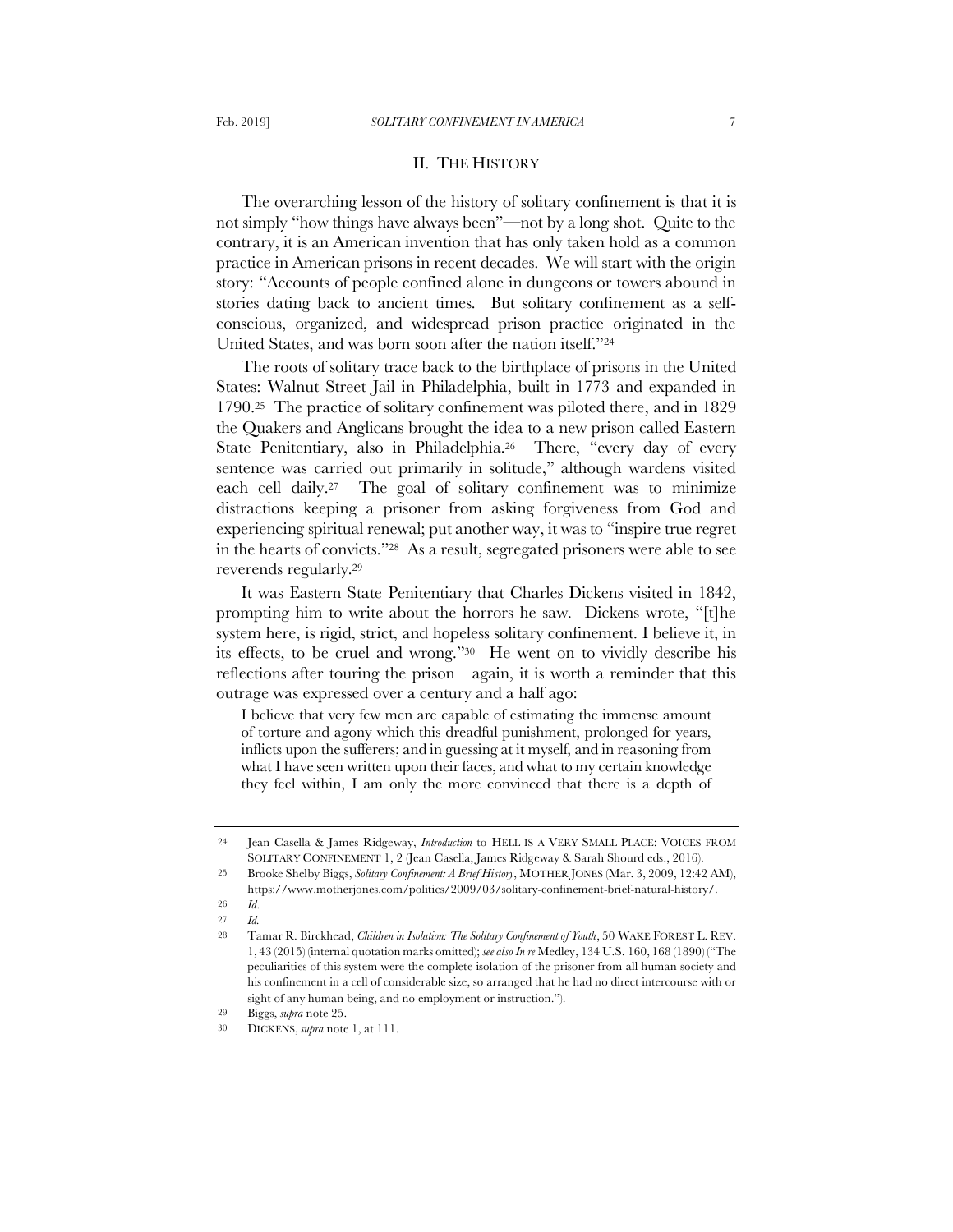# II. THE HISTORY

The overarching lesson of the history of solitary confinement is that it is not simply "how things have always been"—not by a long shot. Quite to the contrary, it is an American invention that has only taken hold as a common practice in American prisons in recent decades. We will start with the origin story: "Accounts of people confined alone in dungeons or towers abound in stories dating back to ancient times. But solitary confinement as a selfconscious, organized, and widespread prison practice originated in the United States, and was born soon after the nation itself."<sup>24</sup>

The roots of solitary trace back to the birthplace of prisons in the United States: Walnut Street Jail in Philadelphia, built in 1773 and expanded in 1790.25 The practice of solitary confinement was piloted there, and in 1829 the Quakers and Anglicans brought the idea to a new prison called Eastern State Penitentiary, also in Philadelphia.<sup>26</sup> There, "every day of every sentence was carried out primarily in solitude," although wardens visited each cell daily.27 The goal of solitary confinement was to minimize distractions keeping a prisoner from asking forgiveness from God and experiencing spiritual renewal; put another way, it was to "inspire true regret in the hearts of convicts."28 As a result, segregated prisoners were able to see reverends regularly.<sup>29</sup>

It was Eastern State Penitentiary that Charles Dickens visited in 1842, prompting him to write about the horrors he saw. Dickens wrote, "[t]he system here, is rigid, strict, and hopeless solitary confinement. I believe it, in its effects, to be cruel and wrong."30 He went on to vividly describe his reflections after touring the prison—again, it is worth a reminder that this outrage was expressed over a century and a half ago:

I believe that very few men are capable of estimating the immense amount of torture and agony which this dreadful punishment, prolonged for years, inflicts upon the sufferers; and in guessing at it myself, and in reasoning from what I have seen written upon their faces, and what to my certain knowledge they feel within, I am only the more convinced that there is a depth of

<sup>24</sup> Jean Casella & James Ridgeway, *Introduction* to HELL IS A VERY SMALL PLACE: VOICES FROM SOLITARY CONFINEMENT 1, 2 (Jean Casella, James Ridgeway & Sarah Shourd eds., 2016).

<sup>25</sup> Brooke Shelby Biggs, *Solitary Confinement: A Brief History*, MOTHER JONES (Mar. 3, 2009, 12:42 AM), https://www.motherjones.com/politics/2009/03/solitary-confinement-brief-natural-history/. 26 *Id*.

<sup>27</sup> *Id.*

<sup>28</sup> Tamar R. Birckhead, *Children in Isolation: The Solitary Confinement of Youth*, 50 WAKE FOREST L. REV. 1, 43 (2015) (internal quotation marks omitted); *see also In re* Medley, 134 U.S. 160, 168 (1890) ("The peculiarities of this system were the complete isolation of the prisoner from all human society and his confinement in a cell of considerable size, so arranged that he had no direct intercourse with or sight of any human being, and no employment or instruction.").

<sup>29</sup> Biggs, *supra* note 25.

<sup>30</sup> DICKENS, *supra* note 1, at 111.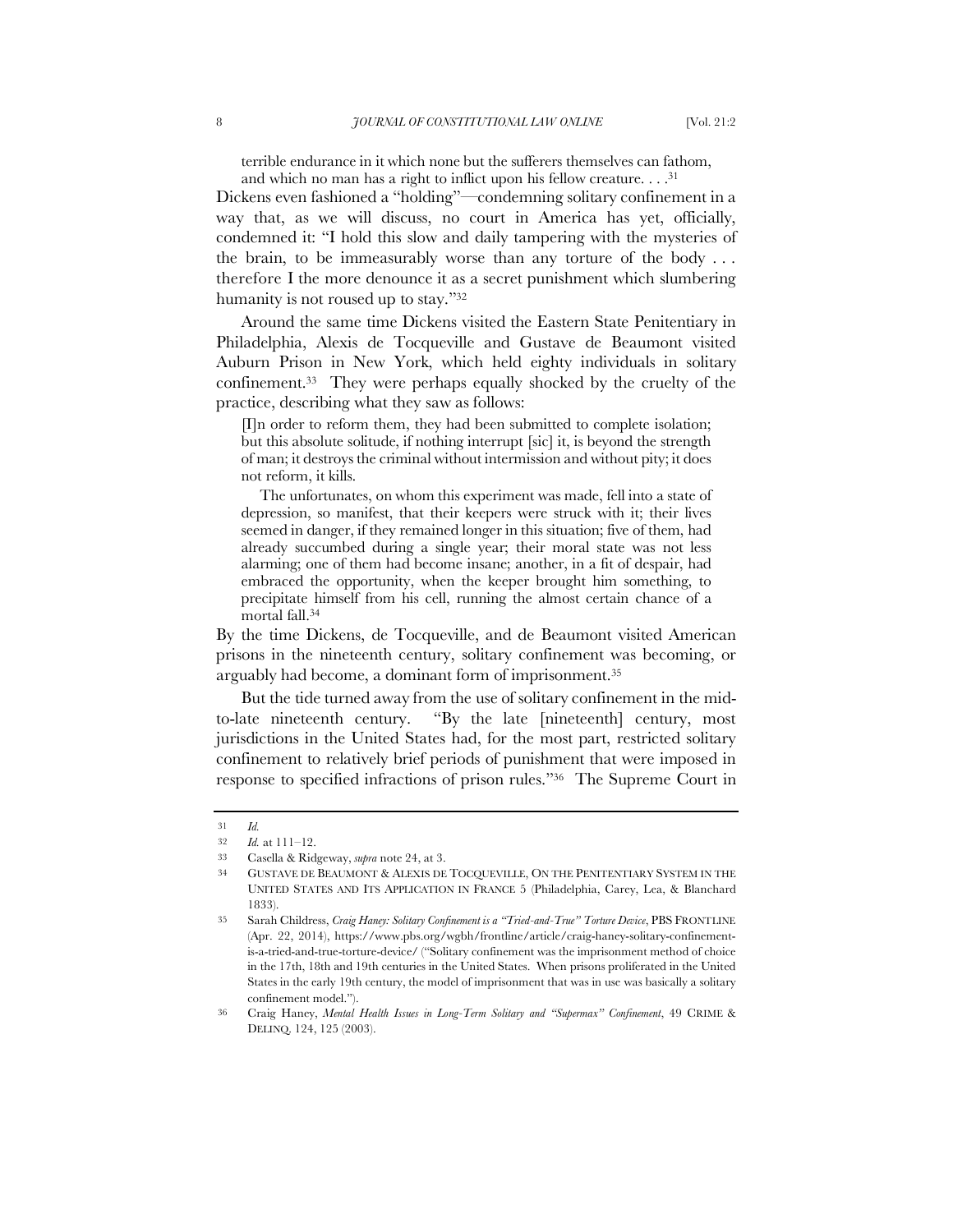terrible endurance in it which none but the sufferers themselves can fathom, and which no man has a right to inflict upon his fellow creature. . . .<sup>31</sup>

Dickens even fashioned a "holding"—condemning solitary confinement in a way that, as we will discuss, no court in America has yet, officially, condemned it: "I hold this slow and daily tampering with the mysteries of the brain, to be immeasurably worse than any torture of the body  $\dots$ therefore I the more denounce it as a secret punishment which slumbering humanity is not roused up to stay."<sup>32</sup>

Around the same time Dickens visited the Eastern State Penitentiary in Philadelphia, Alexis de Tocqueville and Gustave de Beaumont visited Auburn Prison in New York, which held eighty individuals in solitary confinement.33 They were perhaps equally shocked by the cruelty of the practice, describing what they saw as follows:

[I]n order to reform them, they had been submitted to complete isolation; but this absolute solitude, if nothing interrupt [sic] it, is beyond the strength of man; it destroys the criminal without intermission and without pity; it does not reform, it kills.

The unfortunates, on whom this experiment was made, fell into a state of depression, so manifest, that their keepers were struck with it; their lives seemed in danger, if they remained longer in this situation; five of them, had already succumbed during a single year; their moral state was not less alarming; one of them had become insane; another, in a fit of despair, had embraced the opportunity, when the keeper brought him something, to precipitate himself from his cell, running the almost certain chance of a mortal fall.<sup>34</sup>

By the time Dickens, de Tocqueville, and de Beaumont visited American prisons in the nineteenth century, solitary confinement was becoming, or arguably had become, a dominant form of imprisonment.<sup>35</sup>

But the tide turned away from the use of solitary confinement in the midto-late nineteenth century. "By the late [nineteenth] century, most jurisdictions in the United States had, for the most part, restricted solitary confinement to relatively brief periods of punishment that were imposed in response to specified infractions of prison rules."36 The Supreme Court in

<sup>31</sup> *Id.*

<sup>32</sup> *Id.* at 111–12.

<sup>33</sup> Casella & Ridgeway, *supra* note 24, at 3.

<sup>34</sup> GUSTAVE DE BEAUMONT & ALEXIS DE TOCQUEVILLE, ON THE PENITENTIARY SYSTEM IN THE UNITED STATES AND ITS APPLICATION IN FRANCE 5 (Philadelphia, Carey, Lea, & Blanchard 1833).

<sup>35</sup> Sarah Childress, *Craig Haney: Solitary Confinement is a "Tried-and-True" Torture Device*, PBS FRONTLINE (Apr. 22, 2014), https://www.pbs.org/wgbh/frontline/article/craig-haney-solitary-confinementis-a-tried-and-true-torture-device/ ("Solitary confinement was the imprisonment method of choice in the 17th, 18th and 19th centuries in the United States. When prisons proliferated in the United States in the early 19th century, the model of imprisonment that was in use was basically a solitary confinement model.").

<sup>36</sup> Craig Haney, *Mental Health Issues in Long-Term Solitary and "Supermax" Confinement*, 49 CRIME & DELINQ. 124, 125 (2003).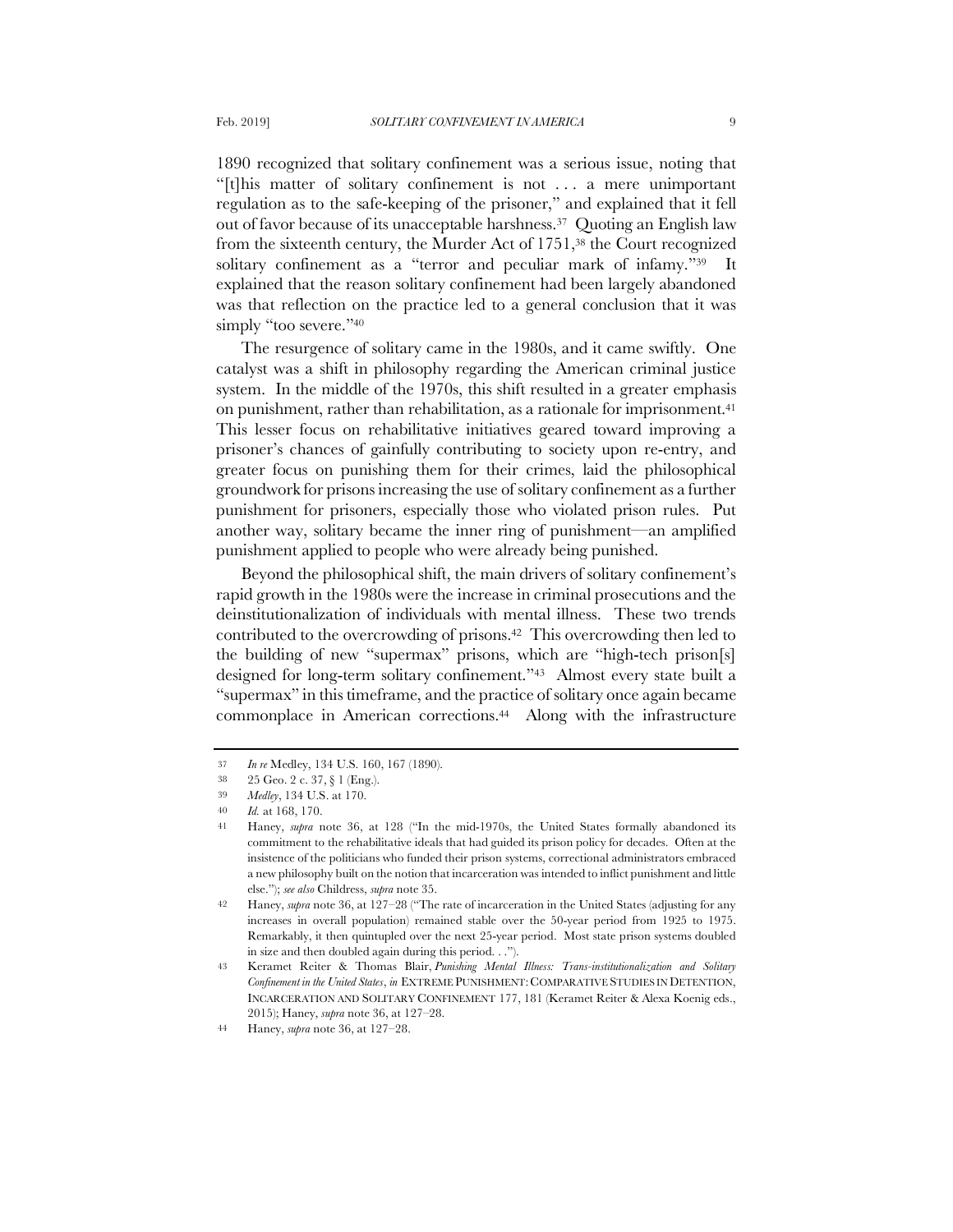1890 recognized that solitary confinement was a serious issue, noting that "[t]his matter of solitary confinement is not . . . a mere unimportant regulation as to the safe-keeping of the prisoner," and explained that it fell out of favor because of its unacceptable harshness.37 Quoting an English law from the sixteenth century, the Murder Act of 1751,<sup>38</sup> the Court recognized solitary confinement as a "terror and peculiar mark of infamy."<sup>39</sup> It explained that the reason solitary confinement had been largely abandoned was that reflection on the practice led to a general conclusion that it was simply "too severe."<sup>40</sup>

The resurgence of solitary came in the 1980s, and it came swiftly. One catalyst was a shift in philosophy regarding the American criminal justice system. In the middle of the 1970s, this shift resulted in a greater emphasis on punishment, rather than rehabilitation, as a rationale for imprisonment.<sup>41</sup> This lesser focus on rehabilitative initiatives geared toward improving a prisoner's chances of gainfully contributing to society upon re-entry, and greater focus on punishing them for their crimes, laid the philosophical groundwork for prisons increasing the use of solitary confinement as a further punishment for prisoners, especially those who violated prison rules. Put another way, solitary became the inner ring of punishment—an amplified punishment applied to people who were already being punished.

Beyond the philosophical shift, the main drivers of solitary confinement's rapid growth in the 1980s were the increase in criminal prosecutions and the deinstitutionalization of individuals with mental illness. These two trends contributed to the overcrowding of prisons.42 This overcrowding then led to the building of new "supermax" prisons, which are "high-tech prison[s] designed for long-term solitary confinement."43 Almost every state built a "supermax" in this timeframe, and the practice of solitary once again became commonplace in American corrections.44 Along with the infrastructure

<sup>37</sup> *In re* Medley, 134 U.S. 160, 167 (1890).

<sup>38</sup> 25 Geo. 2 c. 37, § 1 (Eng.).

<sup>39</sup> *Medley*, 134 U.S. at 170.

<sup>40</sup> *Id.* at 168, 170.

<sup>41</sup> Haney, *supra* note 36, at 128 ("In the mid-1970s, the United States formally abandoned its commitment to the rehabilitative ideals that had guided its prison policy for decades. Often at the insistence of the politicians who funded their prison systems, correctional administrators embraced a new philosophy built on the notion that incarceration was intended to inflict punishment and little else."); *see also* Childress, *supra* note 35.

<sup>42</sup> Haney, *supra* note 36, at 127–28 ("The rate of incarceration in the United States (adjusting for any increases in overall population) remained stable over the 50-year period from 1925 to 1975. Remarkably, it then quintupled over the next 25-year period. Most state prison systems doubled in size and then doubled again during this period. . .").

<sup>43</sup> Keramet Reiter & Thomas Blair, *Punishing Mental Illness: Trans-institutionalization and Solitary Confinement in the United States*, *in* EXTREME PUNISHMENT: COMPARATIVE STUDIES IN DETENTION, INCARCERATION AND SOLITARY CONFINEMENT 177, 181 (Keramet Reiter & Alexa Koenig eds., 2015); Haney, *supra* note 36, at 127–28.

<sup>44</sup> Haney, *supra* note 36, at 127–28.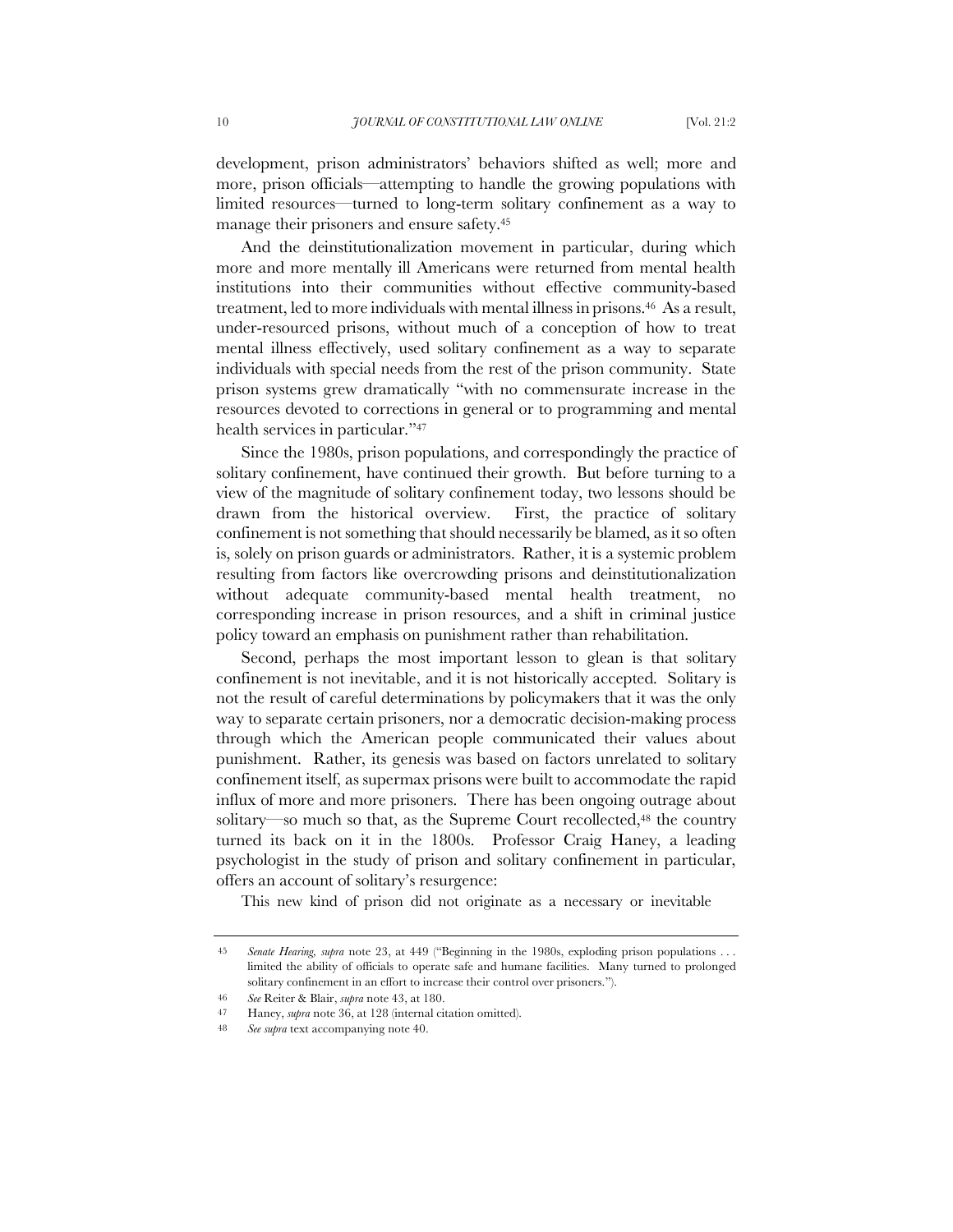development, prison administrators' behaviors shifted as well; more and more, prison officials—attempting to handle the growing populations with limited resources—turned to long-term solitary confinement as a way to manage their prisoners and ensure safety.<sup>45</sup>

And the deinstitutionalization movement in particular, during which more and more mentally ill Americans were returned from mental health institutions into their communities without effective community-based treatment, led to more individuals with mental illness in prisons.46 As a result, under-resourced prisons, without much of a conception of how to treat mental illness effectively, used solitary confinement as a way to separate individuals with special needs from the rest of the prison community. State prison systems grew dramatically "with no commensurate increase in the resources devoted to corrections in general or to programming and mental health services in particular."<sup>47</sup>

Since the 1980s, prison populations, and correspondingly the practice of solitary confinement, have continued their growth. But before turning to a view of the magnitude of solitary confinement today, two lessons should be drawn from the historical overview. First, the practice of solitary confinement is not something that should necessarily be blamed, as it so often is, solely on prison guards or administrators. Rather, it is a systemic problem resulting from factors like overcrowding prisons and deinstitutionalization without adequate community-based mental health treatment, no corresponding increase in prison resources, and a shift in criminal justice policy toward an emphasis on punishment rather than rehabilitation.

Second, perhaps the most important lesson to glean is that solitary confinement is not inevitable, and it is not historically accepted. Solitary is not the result of careful determinations by policymakers that it was the only way to separate certain prisoners, nor a democratic decision-making process through which the American people communicated their values about punishment. Rather, its genesis was based on factors unrelated to solitary confinement itself, as supermax prisons were built to accommodate the rapid influx of more and more prisoners. There has been ongoing outrage about solitary—so much so that, as the Supreme Court recollected,<sup>48</sup> the country turned its back on it in the 1800s. Professor Craig Haney, a leading psychologist in the study of prison and solitary confinement in particular, offers an account of solitary's resurgence:

This new kind of prison did not originate as a necessary or inevitable

46 *See* Reiter & Blair, *supra* note 43, at 180.

<sup>45</sup> *Senate Hearing, supra* note 23, at 449 ("Beginning in the 1980s, exploding prison populations . . . limited the ability of officials to operate safe and humane facilities. Many turned to prolonged solitary confinement in an effort to increase their control over prisoners.").

<sup>47</sup> Haney, *supra* note 36, at 128 (internal citation omitted).

<sup>48</sup> *See supra* text accompanying note 40.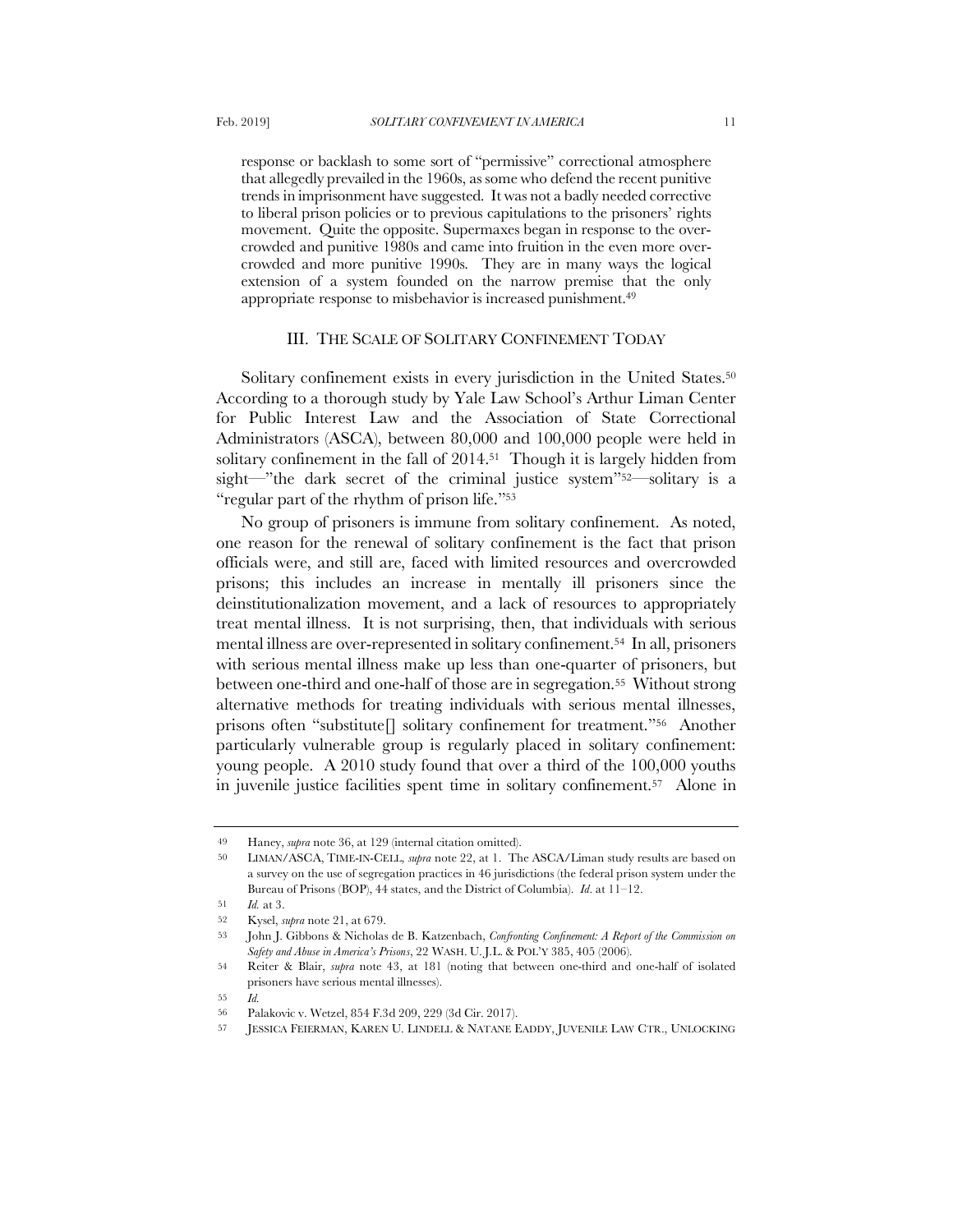response or backlash to some sort of "permissive" correctional atmosphere that allegedly prevailed in the 1960s, as some who defend the recent punitive trends in imprisonment have suggested. It was not a badly needed corrective to liberal prison policies or to previous capitulations to the prisoners' rights movement. Quite the opposite. Supermaxes began in response to the overcrowded and punitive 1980s and came into fruition in the even more overcrowded and more punitive 1990s. They are in many ways the logical extension of a system founded on the narrow premise that the only appropriate response to misbehavior is increased punishment.<sup>49</sup>

#### III. THE SCALE OF SOLITARY CONFINEMENT TODAY

Solitary confinement exists in every jurisdiction in the United States.<sup>50</sup> According to a thorough study by Yale Law School's Arthur Liman Center for Public Interest Law and the Association of State Correctional Administrators (ASCA), between 80,000 and 100,000 people were held in solitary confinement in the fall of 2014.<sup>51</sup> Though it is largely hidden from sight—"the dark secret of the criminal justice system"52—solitary is a "regular part of the rhythm of prison life."<sup>53</sup>

No group of prisoners is immune from solitary confinement. As noted, one reason for the renewal of solitary confinement is the fact that prison officials were, and still are, faced with limited resources and overcrowded prisons; this includes an increase in mentally ill prisoners since the deinstitutionalization movement, and a lack of resources to appropriately treat mental illness. It is not surprising, then, that individuals with serious mental illness are over-represented in solitary confinement.<sup>54</sup> In all, prisoners with serious mental illness make up less than one-quarter of prisoners, but between one-third and one-half of those are in segregation.55 Without strong alternative methods for treating individuals with serious mental illnesses, prisons often "substitute[] solitary confinement for treatment."56 Another particularly vulnerable group is regularly placed in solitary confinement: young people. A 2010 study found that over a third of the 100,000 youths in juvenile justice facilities spent time in solitary confinement.57 Alone in

<sup>49</sup> Haney, *supra* note 36, at 129 (internal citation omitted).

<sup>50</sup> LIMAN/ASCA, TIME-IN-CELL, *supra* note 22, at 1. The ASCA/Liman study results are based on a survey on the use of segregation practices in 46 jurisdictions (the federal prison system under the Bureau of Prisons (BOP), 44 states, and the District of Columbia). *Id*. at 11–12.

<sup>51</sup> *Id.* at 3.

<sup>52</sup> Kysel, *supra* note 21, at 679.

<sup>53</sup> John J. Gibbons & Nicholas de B. Katzenbach, *Confronting Confinement: A Report of the Commission on Safety and Abuse in America's Prisons*, 22 WASH. U. J.L. & POL'Y 385, 405 (2006).

<sup>54</sup> Reiter & Blair, *supra* note 43, at 181 (noting that between one-third and one-half of isolated prisoners have serious mental illnesses).

<sup>55</sup> *Id.*

<sup>56</sup> Palakovic v. Wetzel, 854 F.3d 209, 229 (3d Cir. 2017).

<sup>57</sup> JESSICA FEIERMAN, KAREN U. LINDELL & NATANE EADDY, JUVENILE LAW CTR., UNLOCKING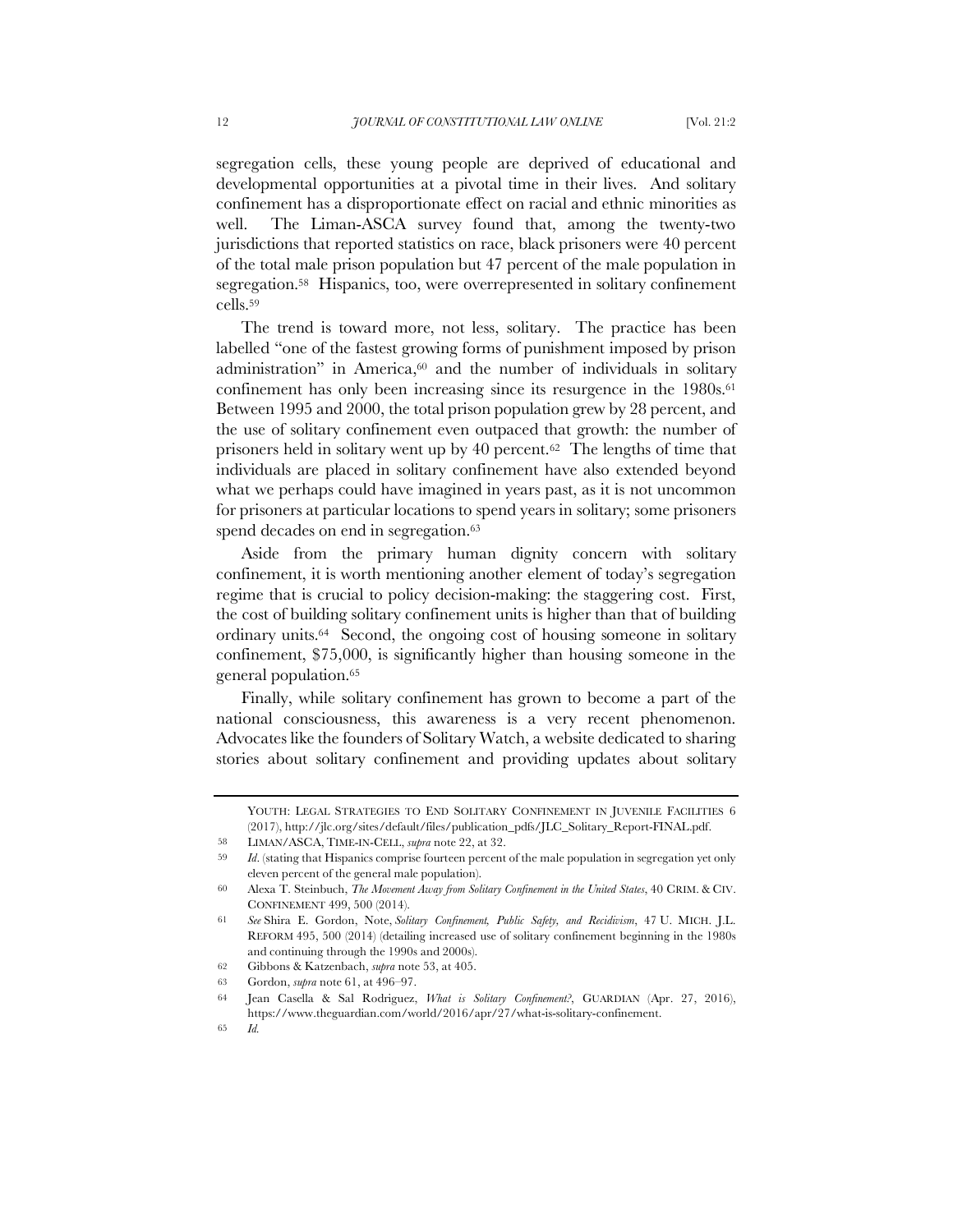segregation cells, these young people are deprived of educational and developmental opportunities at a pivotal time in their lives. And solitary confinement has a disproportionate effect on racial and ethnic minorities as well. The Liman-ASCA survey found that, among the twenty-two jurisdictions that reported statistics on race, black prisoners were 40 percent of the total male prison population but 47 percent of the male population in segregation.58 Hispanics, too, were overrepresented in solitary confinement cells.<sup>59</sup>

The trend is toward more, not less, solitary. The practice has been labelled "one of the fastest growing forms of punishment imposed by prison administration" in America,<sup>60</sup> and the number of individuals in solitary confinement has only been increasing since its resurgence in the 1980s.<sup>61</sup> Between 1995 and 2000, the total prison population grew by 28 percent, and the use of solitary confinement even outpaced that growth: the number of prisoners held in solitary went up by 40 percent.62 The lengths of time that individuals are placed in solitary confinement have also extended beyond what we perhaps could have imagined in years past, as it is not uncommon for prisoners at particular locations to spend years in solitary; some prisoners spend decades on end in segregation.<sup>63</sup>

Aside from the primary human dignity concern with solitary confinement, it is worth mentioning another element of today's segregation regime that is crucial to policy decision-making: the staggering cost. First, the cost of building solitary confinement units is higher than that of building ordinary units.64 Second, the ongoing cost of housing someone in solitary confinement, \$75,000, is significantly higher than housing someone in the general population.<sup>65</sup>

Finally, while solitary confinement has grown to become a part of the national consciousness, this awareness is a very recent phenomenon. Advocates like the founders of Solitary Watch, a website dedicated to sharing stories about solitary confinement and providing updates about solitary

YOUTH: LEGAL STRATEGIES TO END SOLITARY CONFINEMENT IN JUVENILE FACILITIES 6 (2017), http://jlc.org/sites/default/files/publication\_pdfs/JLC\_Solitary\_Report-FINAL.pdf.

<sup>58</sup> LIMAN/ASCA, TIME-IN-CELL, *supra* note 22, at 32.

<sup>59</sup> *Id*. (stating that Hispanics comprise fourteen percent of the male population in segregation yet only eleven percent of the general male population).

<sup>60</sup> Alexa T. Steinbuch, *The Movement Away from Solitary Confinement in the United States*, 40 CRIM. & CIV. CONFINEMENT 499, 500 (2014).

<sup>61</sup> *See* Shira E. Gordon, Note, *Solitary Confinement, Public Safety, and Recidivism*, 47 U. MICH. J.L. REFORM 495, 500 (2014) (detailing increased use of solitary confinement beginning in the 1980s and continuing through the 1990s and 2000s).

<sup>62</sup> Gibbons & Katzenbach, *supra* note 53, at 405.

<sup>63</sup> Gordon, *supra* note 61, at 496–97.

<sup>64</sup> Jean Casella & Sal Rodriguez, *What is Solitary Confinement?*, GUARDIAN (Apr. 27, 2016), https://www.theguardian.com/world/2016/apr/27/what-is-solitary-confinement.

<sup>65</sup> *Id.*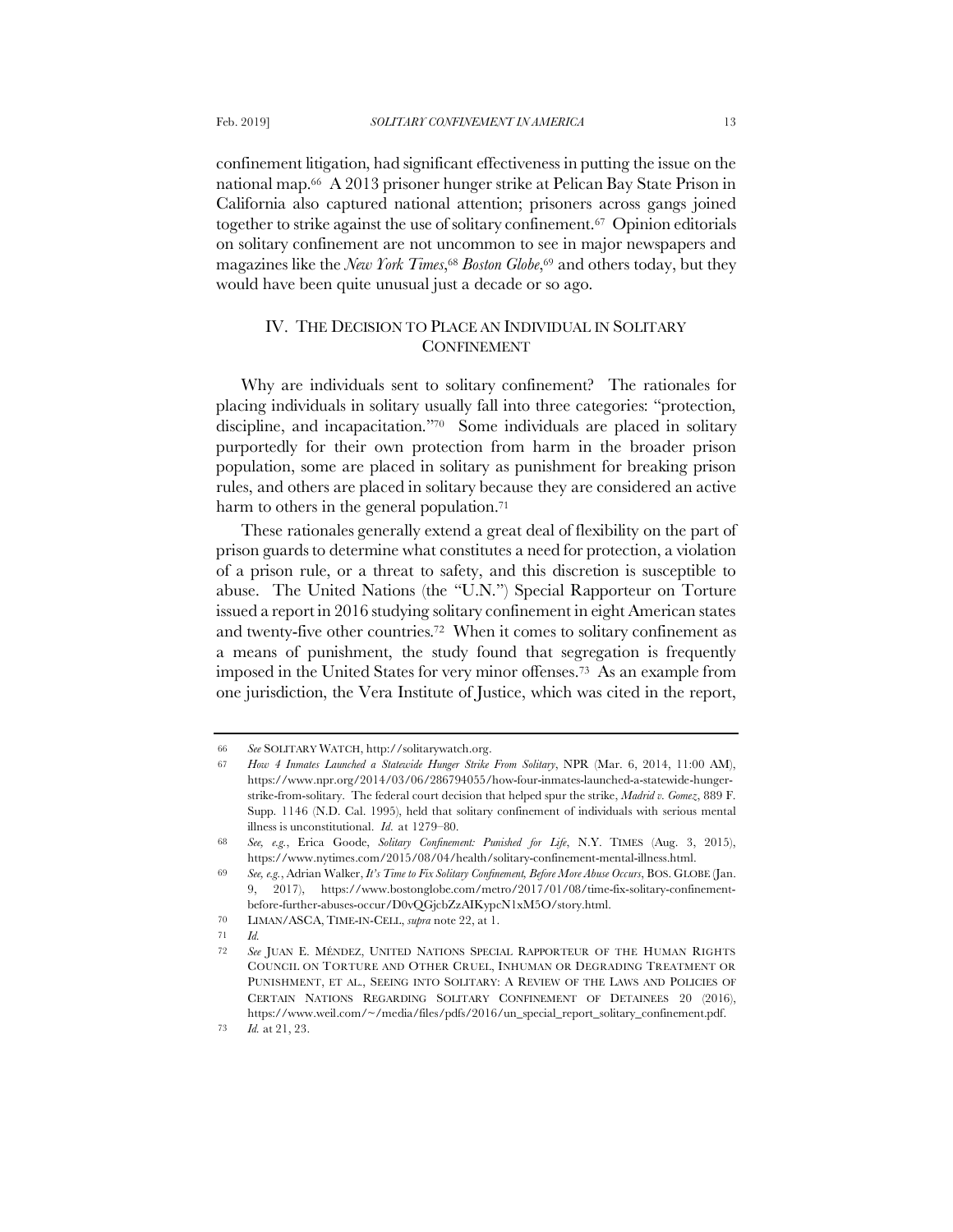confinement litigation, had significant effectiveness in putting the issue on the national map.66 A 2013 prisoner hunger strike at Pelican Bay State Prison in California also captured national attention; prisoners across gangs joined together to strike against the use of solitary confinement.67 Opinion editorials on solitary confinement are not uncommon to see in major newspapers and magazines like the *New York Times*,<sup>68</sup> *Boston Globe*,<sup>69</sup> and others today, but they would have been quite unusual just a decade or so ago.

# IV. THE DECISION TO PLACE AN INDIVIDUAL IN SOLITARY **CONFINEMENT**

Why are individuals sent to solitary confinement? The rationales for placing individuals in solitary usually fall into three categories: "protection, discipline, and incapacitation."70 Some individuals are placed in solitary purportedly for their own protection from harm in the broader prison population, some are placed in solitary as punishment for breaking prison rules, and others are placed in solitary because they are considered an active harm to others in the general population.<sup>71</sup>

These rationales generally extend a great deal of flexibility on the part of prison guards to determine what constitutes a need for protection, a violation of a prison rule, or a threat to safety, and this discretion is susceptible to abuse. The United Nations (the "U.N.") Special Rapporteur on Torture issued a report in 2016 studying solitary confinement in eight American states and twenty-five other countries.72 When it comes to solitary confinement as a means of punishment, the study found that segregation is frequently imposed in the United States for very minor offenses.73 As an example from one jurisdiction, the Vera Institute of Justice, which was cited in the report,

<sup>66</sup> *See* SOLITARY WATCH, http://solitarywatch.org.

<sup>67</sup> *How 4 Inmates Launched a Statewide Hunger Strike From Solitary*, NPR (Mar. 6, 2014, 11:00 AM), https://www.npr.org/2014/03/06/286794055/how-four-inmates-launched-a-statewide-hungerstrike-from-solitary. The federal court decision that helped spur the strike, *Madrid v. Gomez*, 889 F. Supp. 1146 (N.D. Cal. 1995), held that solitary confinement of individuals with serious mental illness is unconstitutional. *Id.* at 1279–80.

<sup>68</sup> *See, e.g.*, Erica Goode, *Solitary Confinement: Punished for Life*, N.Y. TIMES (Aug. 3, 2015), https://www.nytimes.com/2015/08/04/health/solitary-confinement-mental-illness.html.

<sup>69</sup> *See, e.g.*, Adrian Walker, *It's Time to Fix Solitary Confinement, Before More Abuse Occurs*, BOS. GLOBE (Jan. 9, 2017), https://www.bostonglobe.com/metro/2017/01/08/time-fix-solitary-confinementbefore-further-abuses-occur/D0vQGjcbZzAIKypcN1xM5O/story.html.

<sup>70</sup> LIMAN/ASCA, TIME-IN-CELL, *supra* note 22, at 1.

<sup>71</sup> *Id.*

<sup>72</sup> *See* JUAN E. MÉNDEZ, UNITED NATIONS SPECIAL RAPPORTEUR OF THE HUMAN RIGHTS COUNCIL ON TORTURE AND OTHER CRUEL, INHUMAN OR DEGRADING TREATMENT OR PUNISHMENT, ET AL., SEEING INTO SOLITARY: A REVIEW OF THE LAWS AND POLICIES OF CERTAIN NATIONS REGARDING SOLITARY CONFINEMENT OF DETAINEES 20 (2016), https://www.weil.com/~/media/files/pdfs/2016/un\_special\_report\_solitary\_confinement.pdf.

<sup>73</sup> *Id.* at 21, 23.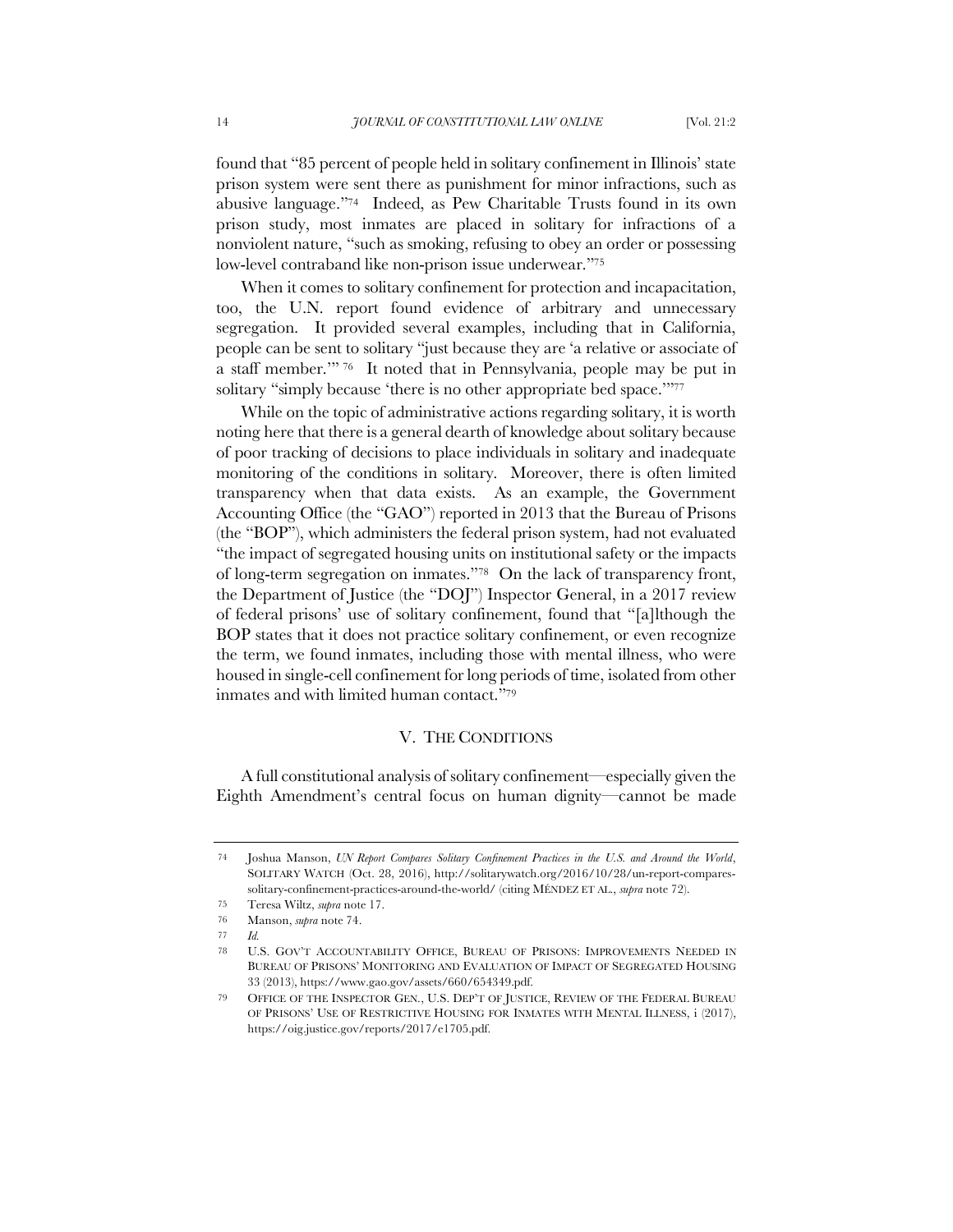found that "85 percent of people held in solitary confinement in Illinois' state prison system were sent there as punishment for minor infractions, such as abusive language."74 Indeed, as Pew Charitable Trusts found in its own prison study, most inmates are placed in solitary for infractions of a nonviolent nature, "such as smoking, refusing to obey an order or possessing low-level contraband like non-prison issue underwear."<sup>75</sup>

When it comes to solitary confinement for protection and incapacitation, too, the U.N. report found evidence of arbitrary and unnecessary segregation. It provided several examples, including that in California, people can be sent to solitary "just because they are 'a relative or associate of a staff member.'" <sup>76</sup> It noted that in Pennsylvania, people may be put in solitary "simply because 'there is no other appropriate bed space.'"<sup>77</sup>

While on the topic of administrative actions regarding solitary, it is worth noting here that there is a general dearth of knowledge about solitary because of poor tracking of decisions to place individuals in solitary and inadequate monitoring of the conditions in solitary. Moreover, there is often limited transparency when that data exists. As an example, the Government Accounting Office (the "GAO") reported in 2013 that the Bureau of Prisons (the "BOP"), which administers the federal prison system, had not evaluated "the impact of segregated housing units on institutional safety or the impacts of long-term segregation on inmates."78 On the lack of transparency front, the Department of Justice (the "DOJ") Inspector General, in a 2017 review of federal prisons' use of solitary confinement, found that "[a]lthough the BOP states that it does not practice solitary confinement, or even recognize the term, we found inmates, including those with mental illness, who were housed in single-cell confinement for long periods of time, isolated from other inmates and with limited human contact."<sup>79</sup>

#### V. THE CONDITIONS

A full constitutional analysis of solitary confinement—especially given the Eighth Amendment's central focus on human dignity—cannot be made

<sup>74</sup> Joshua Manson, *UN Report Compares Solitary Confinement Practices in the U.S. and Around the World*, SOLITARY WATCH (Oct. 28, 2016), http://solitarywatch.org/2016/10/28/un-report-comparessolitary-confinement-practices-around-the-world/ (citing MÉNDEZ ET AL., *supra* note 72).

<sup>75</sup> Teresa Wiltz, *supra* note 17.

<sup>76</sup> Manson, *supra* note 74.

<sup>77</sup> *Id.*

<sup>78</sup> U.S. GOV'T ACCOUNTABILITY OFFICE, BUREAU OF PRISONS: IMPROVEMENTS NEEDED IN BUREAU OF PRISONS' MONITORING AND EVALUATION OF IMPACT OF SEGREGATED HOUSING 33 (2013), https://www.gao.gov/assets/660/654349.pdf.

<sup>79</sup> OFFICE OF THE INSPECTOR GEN., U.S. DEP'T OF JUSTICE, REVIEW OF THE FEDERAL BUREAU OF PRISONS' USE OF RESTRICTIVE HOUSING FOR INMATES WITH MENTAL ILLNESS, i (2017), https://oig.justice.gov/reports/2017/e1705.pdf.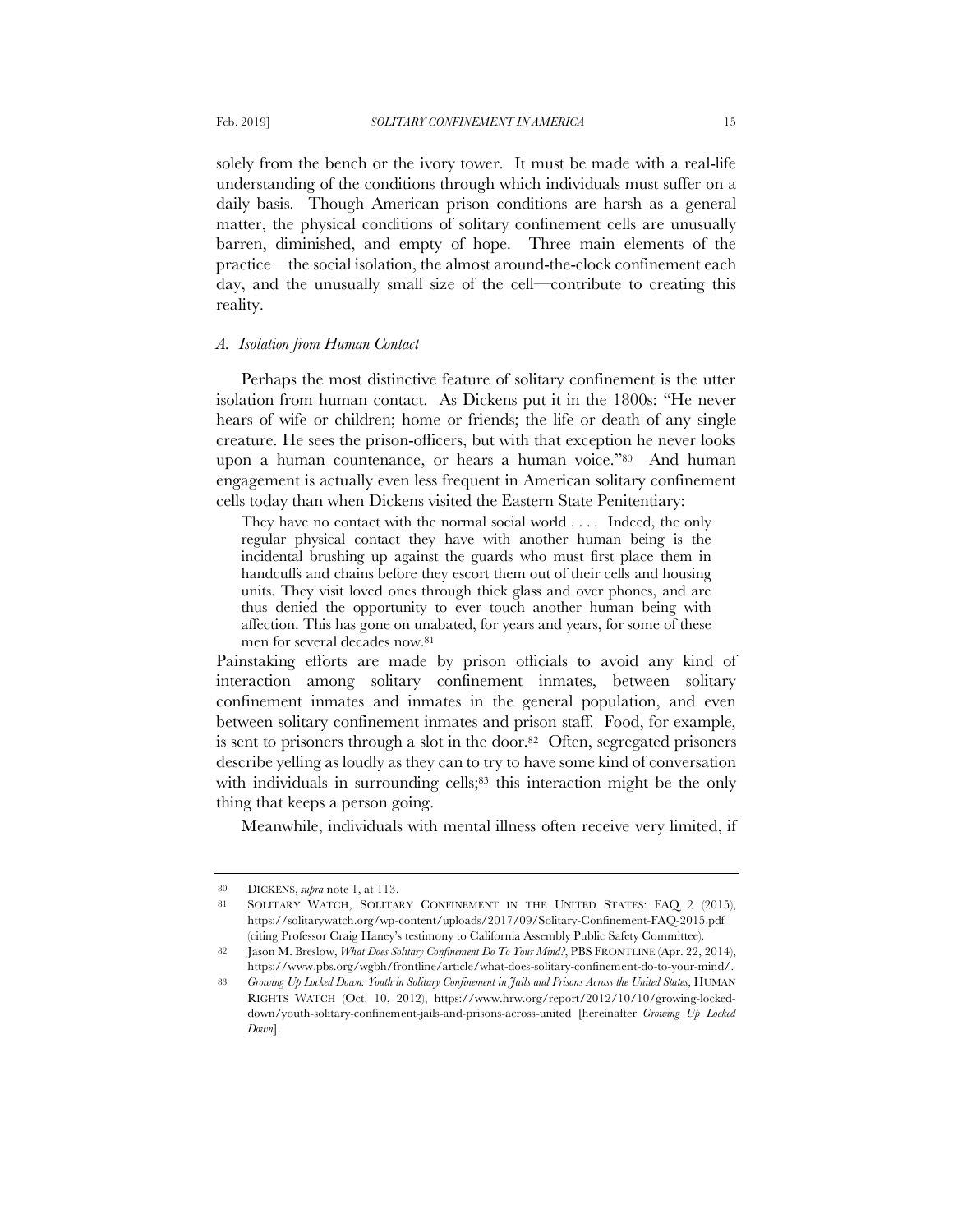solely from the bench or the ivory tower. It must be made with a real-life understanding of the conditions through which individuals must suffer on a daily basis. Though American prison conditions are harsh as a general matter, the physical conditions of solitary confinement cells are unusually barren, diminished, and empty of hope. Three main elements of the practice—the social isolation, the almost around-the-clock confinement each day, and the unusually small size of the cell—contribute to creating this reality.

#### *A. Isolation from Human Contact*

Perhaps the most distinctive feature of solitary confinement is the utter isolation from human contact. As Dickens put it in the 1800s: "He never hears of wife or children; home or friends; the life or death of any single creature. He sees the prison-officers, but with that exception he never looks upon a human countenance, or hears a human voice."80 And human engagement is actually even less frequent in American solitary confinement cells today than when Dickens visited the Eastern State Penitentiary:

They have no contact with the normal social world . . . . Indeed, the only regular physical contact they have with another human being is the incidental brushing up against the guards who must first place them in handcuffs and chains before they escort them out of their cells and housing units. They visit loved ones through thick glass and over phones, and are thus denied the opportunity to ever touch another human being with affection. This has gone on unabated, for years and years, for some of these men for several decades now.<sup>81</sup>

Painstaking efforts are made by prison officials to avoid any kind of interaction among solitary confinement inmates, between solitary confinement inmates and inmates in the general population, and even between solitary confinement inmates and prison staff. Food, for example, is sent to prisoners through a slot in the door.82 Often, segregated prisoners describe yelling as loudly as they can to try to have some kind of conversation with individuals in surrounding cells;<sup>83</sup> this interaction might be the only thing that keeps a person going.

Meanwhile, individuals with mental illness often receive very limited, if

<sup>80</sup> DICKENS, *supra* note 1, at 113.

<sup>81</sup> SOLITARY WATCH, SOLITARY CONFINEMENT IN THE UNITED STATES: FAQ 2 (2015), https://solitarywatch.org/wp-content/uploads/2017/09/Solitary-Confinement-FAQ-2015.pdf (citing Professor Craig Haney's testimony to California Assembly Public Safety Committee).

<sup>82</sup> Jason M. Breslow, *What Does Solitary Confinement Do To Your Mind?*, PBS FRONTLINE (Apr. 22, 2014), https://www.pbs.org/wgbh/frontline/article/what-does-solitary-confinement-do-to-your-mind/.

<sup>83</sup> *Growing Up Locked Down: Youth in Solitary Confinement in Jails and Prisons Across the United States*, HUMAN RIGHTS WATCH (Oct. 10, 2012), https://www.hrw.org/report/2012/10/10/growing-lockeddown/youth-solitary-confinement-jails-and-prisons-across-united [hereinafter *Growing Up Locked Down*].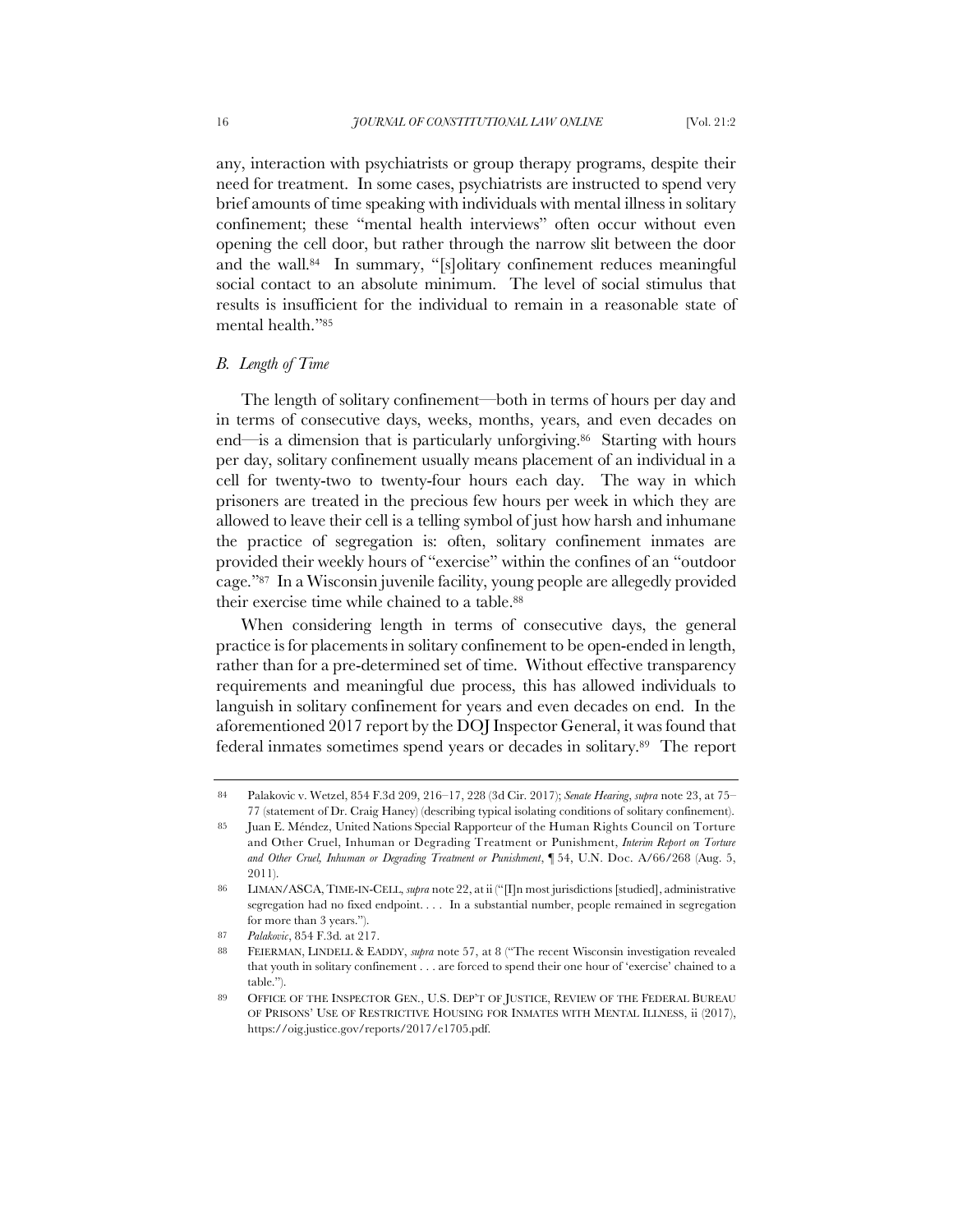any, interaction with psychiatrists or group therapy programs, despite their need for treatment. In some cases, psychiatrists are instructed to spend very brief amounts of time speaking with individuals with mental illness in solitary confinement; these "mental health interviews" often occur without even opening the cell door, but rather through the narrow slit between the door and the wall.84 In summary, "[s]olitary confinement reduces meaningful social contact to an absolute minimum. The level of social stimulus that results is insufficient for the individual to remain in a reasonable state of mental health."<sup>85</sup>

# *B. Length of Time*

The length of solitary confinement—both in terms of hours per day and in terms of consecutive days, weeks, months, years, and even decades on end—is a dimension that is particularly unforgiving.<sup>86</sup> Starting with hours per day, solitary confinement usually means placement of an individual in a cell for twenty-two to twenty-four hours each day. The way in which prisoners are treated in the precious few hours per week in which they are allowed to leave their cell is a telling symbol of just how harsh and inhumane the practice of segregation is: often, solitary confinement inmates are provided their weekly hours of "exercise" within the confines of an "outdoor cage."87 In a Wisconsin juvenile facility, young people are allegedly provided their exercise time while chained to a table.<sup>88</sup>

When considering length in terms of consecutive days, the general practice is for placements in solitary confinement to be open-ended in length, rather than for a pre-determined set of time. Without effective transparency requirements and meaningful due process, this has allowed individuals to languish in solitary confinement for years and even decades on end. In the aforementioned 2017 report by the DOJ Inspector General, it was found that federal inmates sometimes spend years or decades in solitary.89 The report

<sup>84</sup> Palakovic v. Wetzel, 854 F.3d 209, 216–17, 228 (3d Cir. 2017); *Senate Hearing*, *supra* note 23, at 75– 77 (statement of Dr. Craig Haney) (describing typical isolating conditions of solitary confinement).

<sup>85</sup> Juan E. Méndez, United Nations Special Rapporteur of the Human Rights Council on Torture and Other Cruel, Inhuman or Degrading Treatment or Punishment, *Interim Report on Torture and Other Cruel, Inhuman or Degrading Treatment or Punishment*, ¶ 54, U.N. Doc. A/66/268 (Aug. 5, 2011).

<sup>86</sup> LIMAN/ASCA, TIME-IN-CELL, *supra* note 22, at ii ("[I]n most jurisdictions [studied], administrative segregation had no fixed endpoint. . . . In a substantial number, people remained in segregation for more than 3 years.").

<sup>87</sup> *Palakovic*, 854 F.3d. at 217.

<sup>88</sup> FEIERMAN, LINDELL & EADDY, *supra* note 57, at 8 ("The recent Wisconsin investigation revealed that youth in solitary confinement . . . are forced to spend their one hour of 'exercise' chained to a table.").

<sup>89</sup> OFFICE OF THE INSPECTOR GEN., U.S. DEP'T OF JUSTICE, REVIEW OF THE FEDERAL BUREAU OF PRISONS' USE OF RESTRICTIVE HOUSING FOR INMATES WITH MENTAL ILLNESS, ii (2017), https://oig.justice.gov/reports/2017/e1705.pdf.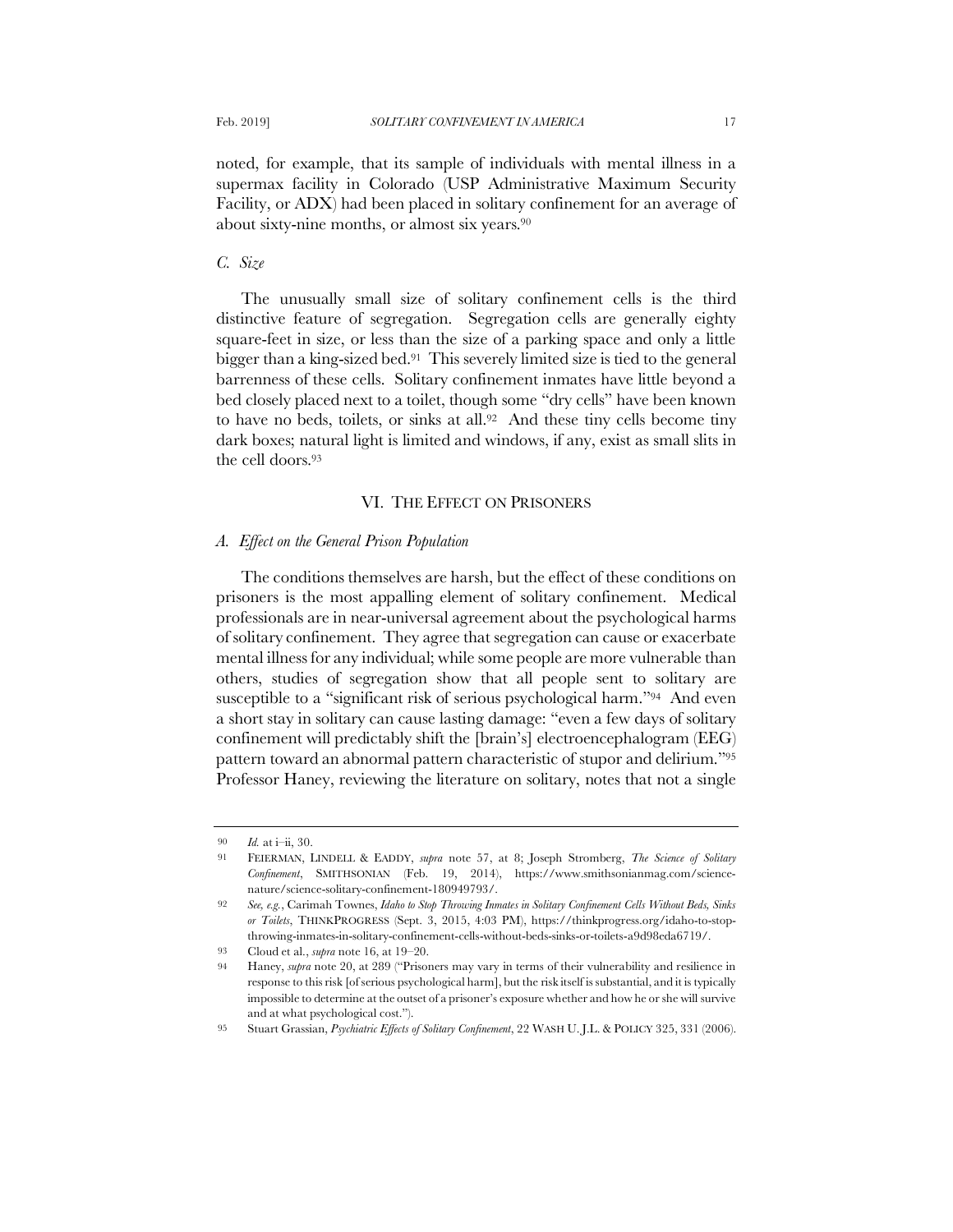noted, for example, that its sample of individuals with mental illness in a supermax facility in Colorado (USP Administrative Maximum Security Facility, or ADX) had been placed in solitary confinement for an average of about sixty-nine months, or almost six years.<sup>90</sup>

# *C. Size*

The unusually small size of solitary confinement cells is the third distinctive feature of segregation. Segregation cells are generally eighty square-feet in size, or less than the size of a parking space and only a little bigger than a king-sized bed.91 This severely limited size is tied to the general barrenness of these cells. Solitary confinement inmates have little beyond a bed closely placed next to a toilet, though some "dry cells" have been known to have no beds, toilets, or sinks at all.92 And these tiny cells become tiny dark boxes; natural light is limited and windows, if any, exist as small slits in the cell doors.<sup>93</sup>

## VI. THE EFFECT ON PRISONERS

## *A. Effect on the General Prison Population*

The conditions themselves are harsh, but the effect of these conditions on prisoners is the most appalling element of solitary confinement. Medical professionals are in near-universal agreement about the psychological harms of solitary confinement. They agree that segregation can cause or exacerbate mental illness for any individual; while some people are more vulnerable than others, studies of segregation show that all people sent to solitary are susceptible to a "significant risk of serious psychological harm."94 And even a short stay in solitary can cause lasting damage: "even a few days of solitary confinement will predictably shift the [brain's] electroencephalogram (EEG) pattern toward an abnormal pattern characteristic of stupor and delirium."<sup>95</sup> Professor Haney, reviewing the literature on solitary, notes that not a single

<sup>90</sup> *Id.* at i–ii, 30.

<sup>91</sup> FEIERMAN, LINDELL & EADDY, *supra* note 57, at 8; Joseph Stromberg, *The Science of Solitary Confinement*, SMITHSONIAN (Feb. 19, 2014), https://www.smithsonianmag.com/sciencenature/science-solitary-confinement-180949793/.

<sup>92</sup> *See, e.g.*, Carimah Townes, *Idaho to Stop Throwing Inmates in Solitary Confinement Cells Without Beds, Sinks or Toilets*, THINKPROGRESS (Sept. 3, 2015, 4:03 PM), https://thinkprogress.org/idaho-to-stopthrowing-inmates-in-solitary-confinement-cells-without-beds-sinks-or-toilets-a9d98eda6719/.

<sup>93</sup> Cloud et al., *supra* note 16, at 19–20.

<sup>94</sup> Haney, *supra* note 20, at 289 ("Prisoners may vary in terms of their vulnerability and resilience in response to this risk [of serious psychological harm], but the risk itself is substantial, and it is typically impossible to determine at the outset of a prisoner's exposure whether and how he or she will survive and at what psychological cost.").

<sup>95</sup> Stuart Grassian, *Psychiatric Effects of Solitary Confinement*, 22 WASH U. J.L. & POLICY 325, 331 (2006).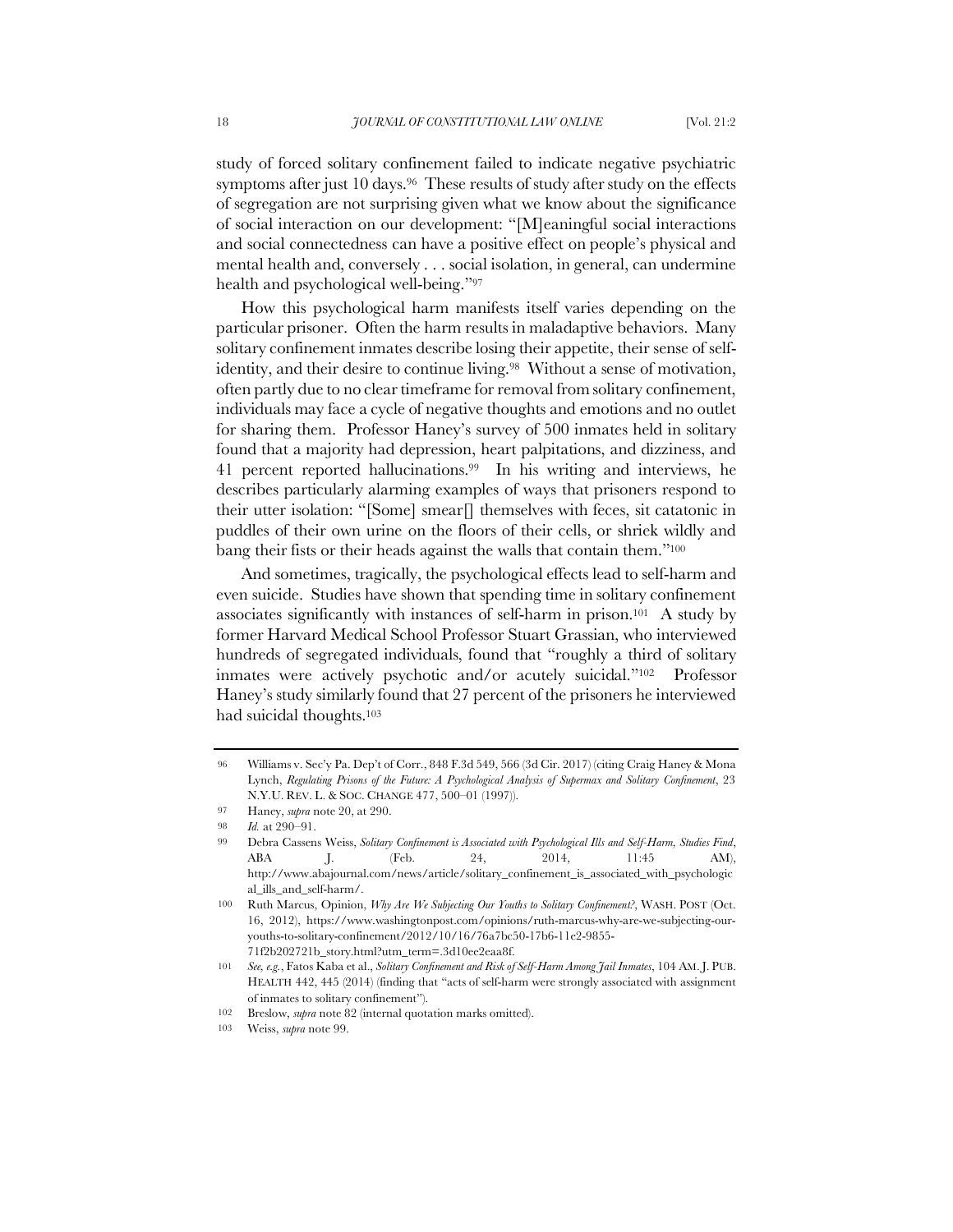study of forced solitary confinement failed to indicate negative psychiatric symptoms after just 10 days.<sup>96</sup> These results of study after study on the effects of segregation are not surprising given what we know about the significance of social interaction on our development: "[M]eaningful social interactions and social connectedness can have a positive effect on people's physical and mental health and, conversely . . . social isolation, in general, can undermine health and psychological well-being."<sup>97</sup>

How this psychological harm manifests itself varies depending on the particular prisoner. Often the harm results in maladaptive behaviors. Many solitary confinement inmates describe losing their appetite, their sense of selfidentity, and their desire to continue living.<sup>98</sup> Without a sense of motivation, often partly due to no clear timeframe for removal from solitary confinement, individuals may face a cycle of negative thoughts and emotions and no outlet for sharing them. Professor Haney's survey of 500 inmates held in solitary found that a majority had depression, heart palpitations, and dizziness, and 41 percent reported hallucinations.99 In his writing and interviews, he describes particularly alarming examples of ways that prisoners respond to their utter isolation: "[Some] smear[] themselves with feces, sit catatonic in puddles of their own urine on the floors of their cells, or shriek wildly and bang their fists or their heads against the walls that contain them."<sup>100</sup>

And sometimes, tragically, the psychological effects lead to self-harm and even suicide. Studies have shown that spending time in solitary confinement associates significantly with instances of self-harm in prison.101 A study by former Harvard Medical School Professor Stuart Grassian, who interviewed hundreds of segregated individuals, found that "roughly a third of solitary inmates were actively psychotic and/or acutely suicidal."102 Professor Haney's study similarly found that 27 percent of the prisoners he interviewed had suicidal thoughts.<sup>103</sup>

<sup>96</sup> Williams v. Sec'y Pa. Dep't of Corr., 848 F.3d 549, 566 (3d Cir. 2017) (citing Craig Haney & Mona Lynch, *Regulating Prisons of the Future: A Psychological Analysis of Supermax and Solitary Confinement*, 23 N.Y.U. REV. L. & SOC. CHANGE 477, 500–01 (1997)).

<sup>97</sup> Haney, *supra* note 20, at 290.

<sup>98</sup> *Id.* at 290–91.

<sup>99</sup> Debra Cassens Weiss, *Solitary Confinement is Associated with Psychological Ills and Self-Harm, Studies Find*, ABA J. (Feb. 24, 2014, 11:45 AM), http://www.abajournal.com/news/article/solitary\_confinement\_is\_associated\_with\_psychologic al\_ills\_and\_self-harm/.

<sup>100</sup> Ruth Marcus, Opinion, *Why Are We Subjecting Our Youths to Solitary Confinement?*, WASH. POST (Oct. 16, 2012), https://www.washingtonpost.com/opinions/ruth-marcus-why-are-we-subjecting-ouryouths-to-solitary-confinement/2012/10/16/76a7bc50-17b6-11e2-9855- 71f2b202721b\_story.html?utm\_term=.3d10ee2eaa8f.

<sup>101</sup> *See, e.g.*, Fatos Kaba et al., *Solitary Confinement and Risk of Self-Harm Among Jail Inmates*, 104 AM.J. PUB. HEALTH 442, 445 (2014) (finding that "acts of self-harm were strongly associated with assignment of inmates to solitary confinement").

<sup>102</sup> Breslow, *supra* note 82 (internal quotation marks omitted).

<sup>103</sup> Weiss, *supra* note 99.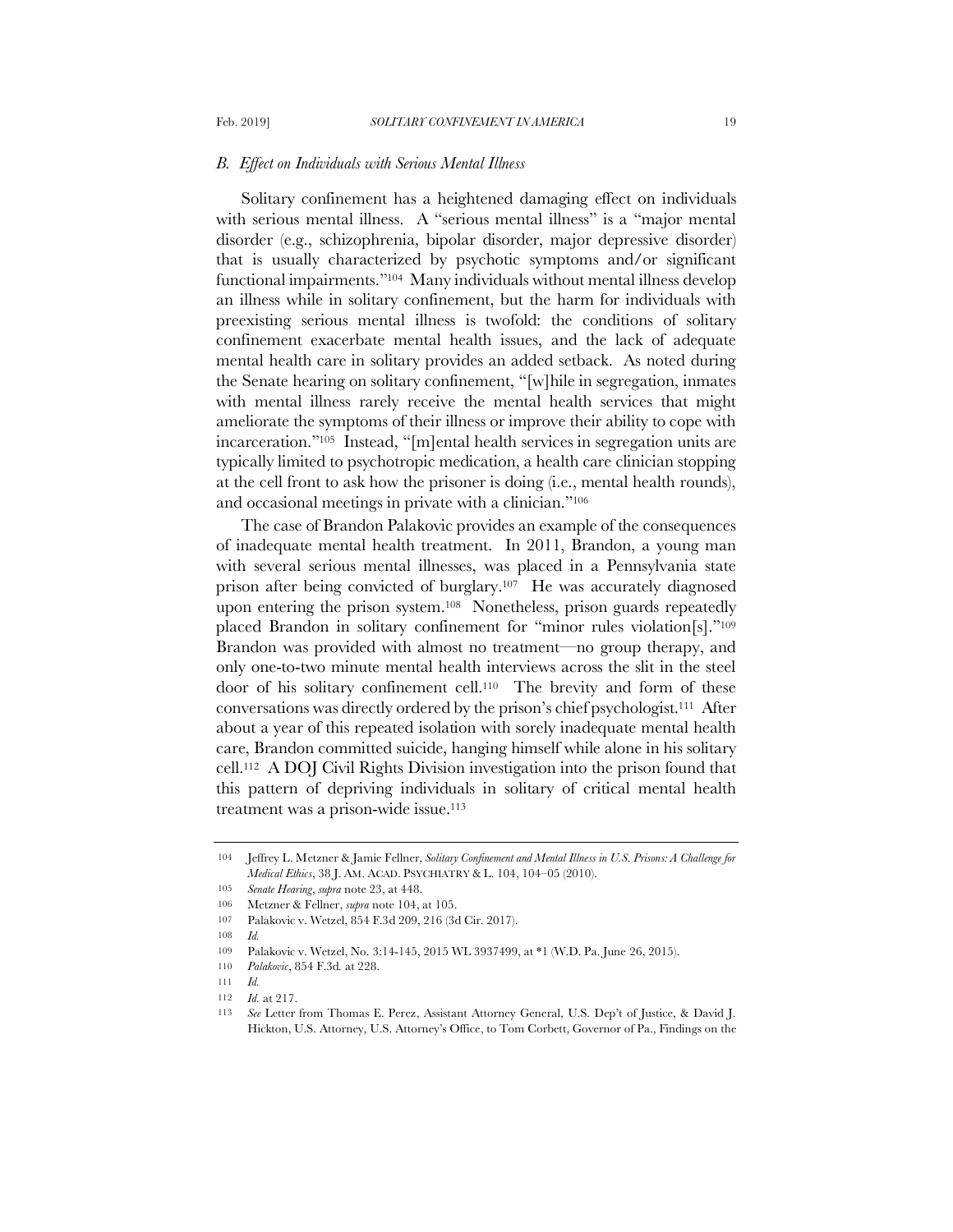#### *B. Effect on Individuals with Serious Mental Illness*

Solitary confinement has a heightened damaging effect on individuals with serious mental illness. A "serious mental illness" is a "major mental disorder (e.g., schizophrenia, bipolar disorder, major depressive disorder) that is usually characterized by psychotic symptoms and/or significant functional impairments."104 Many individuals without mental illness develop an illness while in solitary confinement, but the harm for individuals with preexisting serious mental illness is twofold: the conditions of solitary confinement exacerbate mental health issues, and the lack of adequate mental health care in solitary provides an added setback. As noted during the Senate hearing on solitary confinement, "[w]hile in segregation, inmates with mental illness rarely receive the mental health services that might ameliorate the symptoms of their illness or improve their ability to cope with incarceration."105 Instead, "[m]ental health services in segregation units are typically limited to psychotropic medication, a health care clinician stopping at the cell front to ask how the prisoner is doing (i.e., mental health rounds), and occasional meetings in private with a clinician."<sup>106</sup>

The case of Brandon Palakovic provides an example of the consequences of inadequate mental health treatment. In 2011, Brandon, a young man with several serious mental illnesses, was placed in a Pennsylvania state prison after being convicted of burglary.107 He was accurately diagnosed upon entering the prison system.108 Nonetheless, prison guards repeatedly placed Brandon in solitary confinement for "minor rules violation[s]."<sup>109</sup> Brandon was provided with almost no treatment—no group therapy, and only one-to-two minute mental health interviews across the slit in the steel door of his solitary confinement cell.110 The brevity and form of these conversations was directly ordered by the prison's chief psychologist.111 After about a year of this repeated isolation with sorely inadequate mental health care, Brandon committed suicide, hanging himself while alone in his solitary cell.112 A DOJ Civil Rights Division investigation into the prison found that this pattern of depriving individuals in solitary of critical mental health treatment was a prison-wide issue.<sup>113</sup>

<sup>104</sup> Jeffrey L. Metzner & Jamie Fellner, *Solitary Confinement and Mental Illness in U.S. Prisons: A Challenge for Medical Ethics*, 38 J. AM. ACAD. PSYCHIATRY & L. 104, 104–05 (2010).

<sup>105</sup> *Senate Hearing*, *supra* note 23, at 448.

<sup>106</sup> Metzner & Fellner, *supra* note 104, at 105.

<sup>107</sup> Palakovic v. Wetzel, 854 F.3d 209, 216 (3d Cir. 2017).

<sup>108</sup> *Id.*

<sup>109</sup> Palakovic v. Wetzel, No. 3:14-145, 2015 WL 3937499, at \*1 (W.D. Pa. June 26, 2015).

<sup>110</sup> *Palakovic*, 854 F.3d*.* at 228.

<sup>111</sup> *Id.*

<sup>112</sup> *Id.* at 217.

<sup>113</sup> *See* Letter from Thomas E. Perez, Assistant Attorney General, U.S. Dep't of Justice, & David J. Hickton, U.S. Attorney, U.S. Attorney's Office, to Tom Corbett, Governor of Pa., Findings on the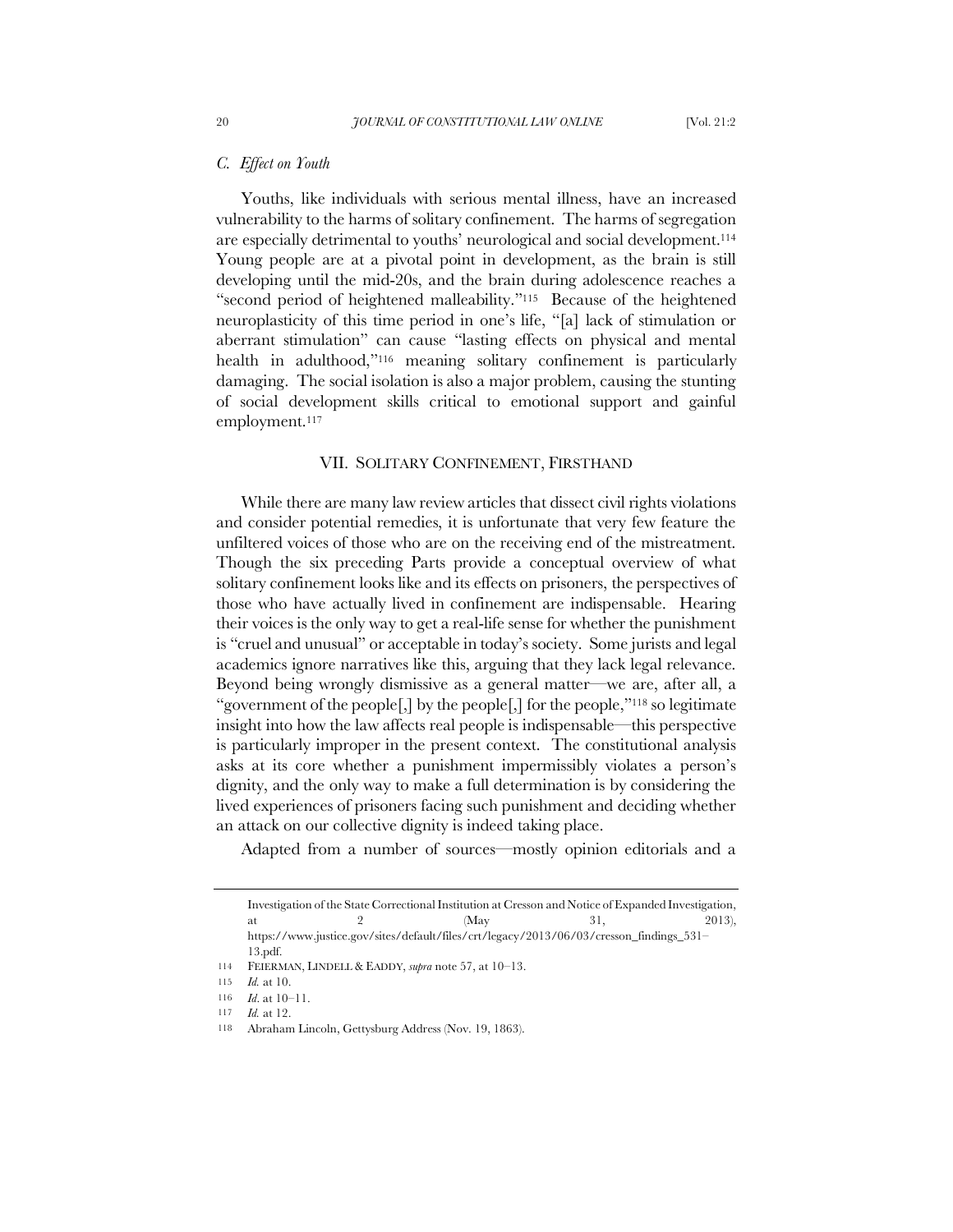# *C. Effect on Youth*

Youths, like individuals with serious mental illness, have an increased vulnerability to the harms of solitary confinement. The harms of segregation are especially detrimental to youths' neurological and social development.<sup>114</sup> Young people are at a pivotal point in development, as the brain is still developing until the mid-20s, and the brain during adolescence reaches a "second period of heightened malleability."115 Because of the heightened neuroplasticity of this time period in one's life, "[a] lack of stimulation or aberrant stimulation" can cause "lasting effects on physical and mental health in adulthood,"<sup>116</sup> meaning solitary confinement is particularly damaging. The social isolation is also a major problem, causing the stunting of social development skills critical to emotional support and gainful employment.<sup>117</sup>

## VII. SOLITARY CONFINEMENT, FIRSTHAND

While there are many law review articles that dissect civil rights violations and consider potential remedies, it is unfortunate that very few feature the unfiltered voices of those who are on the receiving end of the mistreatment. Though the six preceding Parts provide a conceptual overview of what solitary confinement looks like and its effects on prisoners, the perspectives of those who have actually lived in confinement are indispensable. Hearing their voices is the only way to get a real-life sense for whether the punishment is "cruel and unusual" or acceptable in today's society. Some jurists and legal academics ignore narratives like this, arguing that they lack legal relevance. Beyond being wrongly dismissive as a general matter—we are, after all, a "government of the people[,] by the people[,] for the people,"<sup>118</sup> so legitimate insight into how the law affects real people is indispensable—this perspective is particularly improper in the present context. The constitutional analysis asks at its core whether a punishment impermissibly violates a person's dignity, and the only way to make a full determination is by considering the lived experiences of prisoners facing such punishment and deciding whether an attack on our collective dignity is indeed taking place.

Adapted from a number of sources—mostly opinion editorials and a

Investigation of the State Correctional Institution at Cresson and Notice of Expanded Investigation, at 2  $(May \t 31, 2013)$ , https://www.justice.gov/sites/default/files/crt/legacy/2013/06/03/cresson\_findings\_531– 13.pdf.

<sup>114</sup> FEIERMAN, LINDELL & EADDY, *supra* note 57, at 10–13.

<sup>115</sup> *Id.* at 10.

<sup>116</sup> *Id*. at 10–11.

<sup>117</sup> *Id.* at 12.

<sup>118</sup> Abraham Lincoln, Gettysburg Address (Nov. 19, 1863).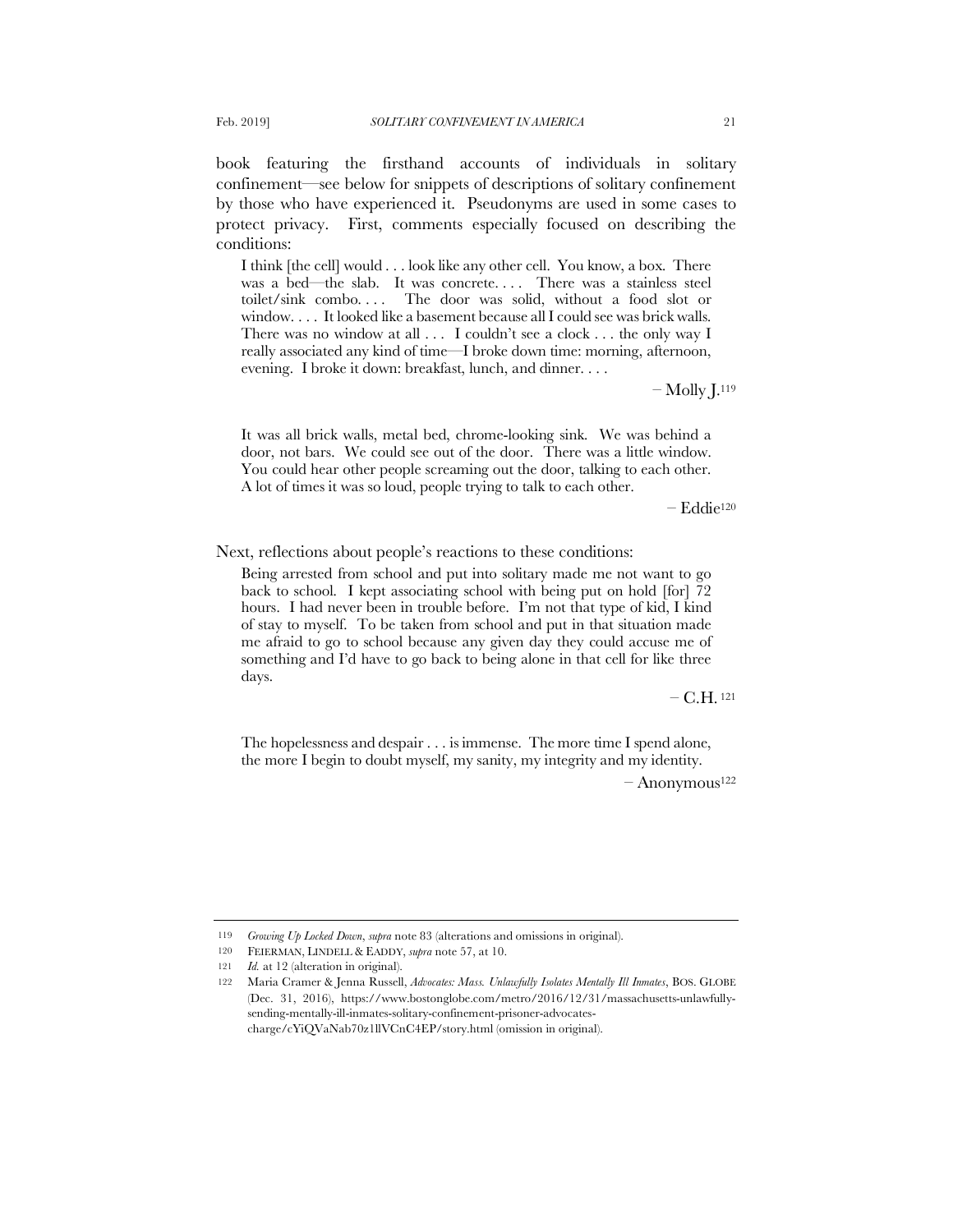book featuring the firsthand accounts of individuals in solitary confinement—see below for snippets of descriptions of solitary confinement by those who have experienced it. Pseudonyms are used in some cases to protect privacy. First, comments especially focused on describing the conditions:

I think [the cell] would . . . look like any other cell. You know, a box. There was a bed—the slab. It was concrete.... There was a stainless steel toilet/sink combo.... The door was solid, without a food slot or window. . . . It looked like a basement because all I could see was brick walls. There was no window at all . . . I couldn't see a clock . . . the only way I really associated any kind of time—I broke down time: morning, afternoon, evening. I broke it down: breakfast, lunch, and dinner. . . .

 $-$  Molly  $\mathrm{L}^{119}$ 

It was all brick walls, metal bed, chrome-looking sink. We was behind a door, not bars. We could see out of the door. There was a little window. You could hear other people screaming out the door, talking to each other. A lot of times it was so loud, people trying to talk to each other.

– Eddie<sup>120</sup>

Next, reflections about people's reactions to these conditions:

Being arrested from school and put into solitary made me not want to go back to school. I kept associating school with being put on hold [for] 72 hours. I had never been in trouble before. I'm not that type of kid, I kind of stay to myself. To be taken from school and put in that situation made me afraid to go to school because any given day they could accuse me of something and I'd have to go back to being alone in that cell for like three days.

 $-$  C.H. 121

The hopelessness and despair . . . is immense. The more time I spend alone, the more I begin to doubt myself, my sanity, my integrity and my identity.

– Anonymous<sup>122</sup>

<sup>119</sup> *Growing Up Locked Down*, *supra* note 83 (alterations and omissions in original).

<sup>120</sup> FEIERMAN, LINDELL & EADDY, *supra* note 57, at 10.

<sup>121</sup> *Id.* at 12 (alteration in original).

<sup>122</sup> Maria Cramer & Jenna Russell, *Advocates: Mass. Unlawfully Isolates Mentally Ill Inmates*, BOS. GLOBE (Dec. 31, 2016), https://www.bostonglobe.com/metro/2016/12/31/massachusetts-unlawfullysending-mentally-ill-inmates-solitary-confinement-prisoner-advocatescharge/cYiQVaNab70z1llVCnC4EP/story.html (omission in original).